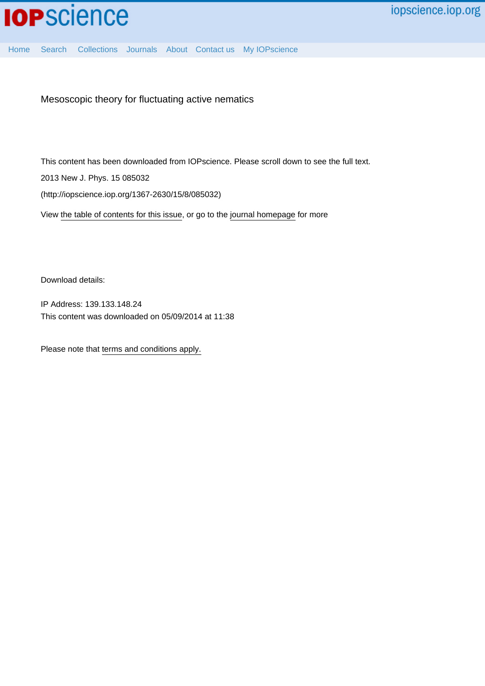

[Home](http://iopscience.iop.org/) [Search](http://iopscience.iop.org/search) [Collections](http://iopscience.iop.org/collections) [Journals](http://iopscience.iop.org/journals) [About](http://iopscience.iop.org/page/aboutioppublishing) [Contact us](http://iopscience.iop.org/contact) [My IOPscience](http://iopscience.iop.org/myiopscience)

Mesoscopic theory for fluctuating active nematics

This content has been downloaded from IOPscience. Please scroll down to see the full text. 2013 New J. Phys. 15 085032 (http://iopscience.iop.org/1367-2630/15/8/085032)

View [the table of contents for this issue](http://iopscience.iop.org/1367-2630/15/8), or go to the [journal homepage](http://iopscience.iop.org/1367-2630) for more

Download details:

IP Address: 139.133.148.24 This content was downloaded on 05/09/2014 at 11:38

Please note that [terms and conditions apply.](iopscience.iop.org/page/terms)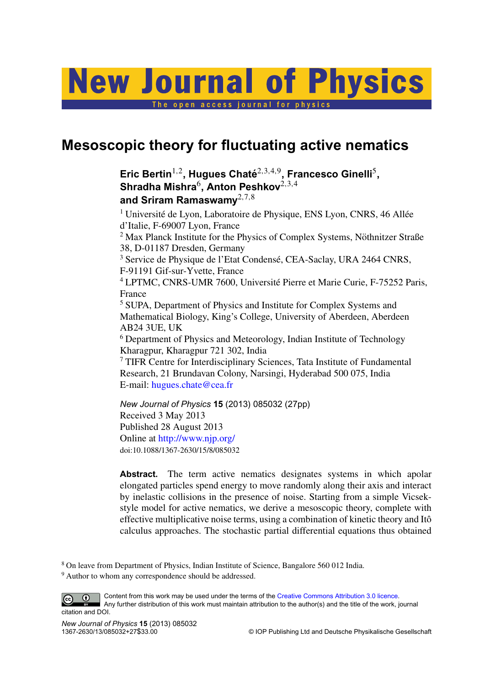# **New Journal of Physics**

The open access iournal for physics

# **Mesoscopic theory for fluctuating active nematics**

# Eric Bertin<sup>1,2</sup>, Hugues Chaté<sup>2,3,4,9</sup>, Francesco Ginelli<sup>5</sup>, **Shradha Mishra**<sup>6</sup> **, Anton Peshkov**2,3,<sup>4</sup> **and Sriram Ramaswamy**2,7,<sup>8</sup>

 $1$  Université de Lyon, Laboratoire de Physique, ENS Lyon, CNRS, 46 Allée d'Italie, F-69007 Lyon, France

 $2$  Max Planck Institute for the Physics of Complex Systems, Nöthnitzer Straße 38, D-01187 Dresden, Germany

<sup>3</sup> Service de Physique de l'Etat Condensé, CEA-Saclay, URA 2464 CNRS, F-91191 Gif-sur-Yvette, France

<sup>4</sup> LPTMC, CNRS-UMR 7600, Université Pierre et Marie Curie, F-75252 Paris, France

<sup>5</sup> SUPA, Department of Physics and Institute for Complex Systems and Mathematical Biology, King's College, University of Aberdeen, Aberdeen AB24 3UE, UK

<sup>6</sup> Department of Physics and Meteorology, Indian Institute of Technology Kharagpur, Kharagpur 721 302, India

<sup>7</sup> TIFR Centre for Interdisciplinary Sciences, Tata Institute of Fundamental Research, 21 Brundavan Colony, Narsingi, Hyderabad 500 075, India E-mail: [hugues.chate@cea.fr](mailto:hugues.chate@cea.fr)

*New Journal of Physics* **15** (2013) 085032 (27pp) Received 3 May 2013 Published 28 August 2013 Online at <http://www.njp.org/> doi:10.1088/1367-2630/15/8/085032

**Abstract.** The term active nematics designates systems in which apolar elongated particles spend energy to move randomly along their axis and interact by inelastic collisions in the presence of noise. Starting from a simple Vicsekstyle model for active nematics, we derive a mesoscopic theory, complete with effective multiplicative noise terms, using a combination of kinetic theory and Itô calculus approaches. The stochastic partial differential equations thus obtained

<sup>8</sup> On leave from Department of Physics, Indian Institute of Science, Bangalore 560 012 India.

<sup>&</sup>lt;sup>9</sup> Author to whom any correspondence should be addressed.

Content from this work may be used under the terms of the [Creative Commons Attribution 3.0 licence.](http://creativecommons.org/licenses/by/3.0) ⊕  $\left($ cc Any further distribution of this work must maintain attribution to the author(s) and the title of the work, journal citation and DOI.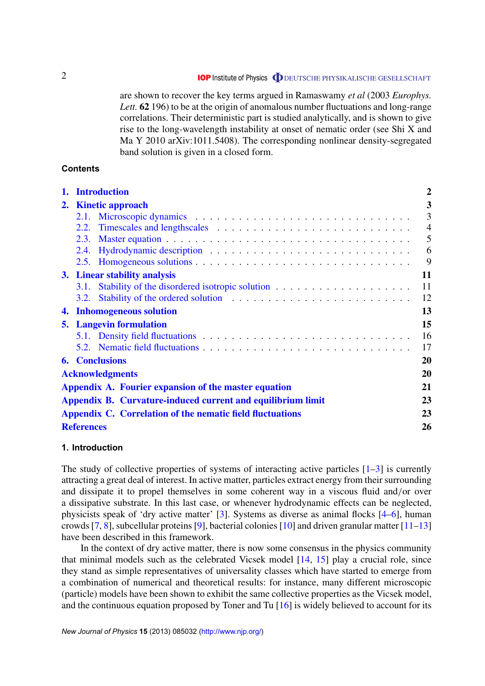are shown to recover the key terms argued in Ramaswamy *et al* (2003 *Europhys. Lett.* **62** 196) to be at the origin of anomalous number fluctuations and long-range correlations. Their deterministic part is studied analytically, and is shown to give rise to the long-wavelength instability at onset of nematic order (see Shi X and Ma Y 2010 arXiv:1011.5408). The corresponding nonlinear density-segregated band solution is given in a closed form.

# **Contents**

|                                | 1. Introduction                                             |                                                                                                                                                                                                                               | $\overline{2}$ |
|--------------------------------|-------------------------------------------------------------|-------------------------------------------------------------------------------------------------------------------------------------------------------------------------------------------------------------------------------|----------------|
|                                | 2. Kinetic approach                                         |                                                                                                                                                                                                                               | 3              |
|                                |                                                             |                                                                                                                                                                                                                               | $\overline{3}$ |
|                                |                                                             | 2.2. Timescales and lengthscales expansion in the set of the set of the set of the set of the set of the set of the set of the set of the set of the set of the set of the set of the set of the set of the set of the set of | $\overline{4}$ |
|                                | 2.3.                                                        |                                                                                                                                                                                                                               | 5              |
|                                |                                                             |                                                                                                                                                                                                                               | 6              |
|                                |                                                             |                                                                                                                                                                                                                               | 9              |
| 3. Linear stability analysis   |                                                             |                                                                                                                                                                                                                               | 11             |
|                                | 3.1.                                                        |                                                                                                                                                                                                                               | 11             |
|                                | 3.2.                                                        |                                                                                                                                                                                                                               | 12             |
|                                |                                                             | 4. Inhomogeneous solution                                                                                                                                                                                                     | 13             |
| <b>5.</b> Langevin formulation |                                                             |                                                                                                                                                                                                                               | 15             |
|                                |                                                             |                                                                                                                                                                                                                               | 16             |
|                                |                                                             |                                                                                                                                                                                                                               | 17             |
|                                |                                                             | <b>6.</b> Conclusions                                                                                                                                                                                                         | 20             |
|                                | <b>Acknowledgments</b>                                      |                                                                                                                                                                                                                               |                |
|                                | Appendix A. Fourier expansion of the master equation        |                                                                                                                                                                                                                               |                |
|                                |                                                             |                                                                                                                                                                                                                               |                |
|                                | Appendix B. Curvature-induced current and equilibrium limit |                                                                                                                                                                                                                               |                |
|                                | Appendix C. Correlation of the nematic field fluctuations   |                                                                                                                                                                                                                               |                |
|                                | <b>References</b>                                           |                                                                                                                                                                                                                               |                |

# **1. Introduction**

The study of collective properties of systems of interacting active particles  $[1-3]$  is currently attracting a great deal of interest. In active matter, particles extract energy from their surrounding and dissipate it to propel themselves in some coherent way in a viscous fluid and/or over a dissipative substrate. In this last case, or whenever hydrodynamic effects can be neglected, physicists speak of 'dry active matter' [\[3\]](#page-26-0). Systems as diverse as animal flocks [\[4–6\]](#page-26-0), human crowds [\[7,](#page-26-0) [8\]](#page-26-0), subcellular proteins [\[9\]](#page-26-0), bacterial colonies [\[10\]](#page-26-0) and driven granular matter [\[11–13\]](#page-26-0) have been described in this framework.

In the context of dry active matter, there is now some consensus in the physics community that minimal models such as the celebrated Vicsek model [\[14,](#page-26-0) [15\]](#page-26-0) play a crucial role, since they stand as simple representatives of universality classes which have started to emerge from a combination of numerical and theoretical results: for instance, many different microscopic (particle) models have been shown to exhibit the same collective properties as the Vicsek model, and the continuous equation proposed by Toner and Tu [\[16\]](#page-26-0) is widely believed to account for its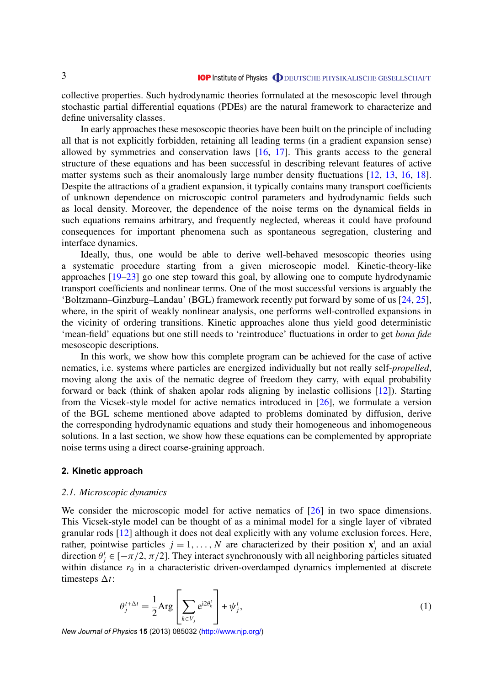<span id="page-3-0"></span>collective properties. Such hydrodynamic theories formulated at the mesoscopic level through stochastic partial differential equations (PDEs) are the natural framework to characterize and define universality classes.

In early approaches these mesoscopic theories have been built on the principle of including all that is not explicitly forbidden, retaining all leading terms (in a gradient expansion sense) allowed by symmetries and conservation laws [\[16,](#page-26-0) [17\]](#page-26-0). This grants access to the general structure of these equations and has been successful in describing relevant features of active matter systems such as their anomalously large number density fluctuations [\[12,](#page-26-0) [13,](#page-26-0) [16,](#page-26-0) [18\]](#page-26-0). Despite the attractions of a gradient expansion, it typically contains many transport coefficients of unknown dependence on microscopic control parameters and hydrodynamic fields such as local density. Moreover, the dependence of the noise terms on the dynamical fields in such equations remains arbitrary, and frequently neglected, whereas it could have profound consequences for important phenomena such as spontaneous segregation, clustering and interface dynamics.

Ideally, thus, one would be able to derive well-behaved mesoscopic theories using a systematic procedure starting from a given microscopic model. Kinetic-theory-like approaches [\[19–23\]](#page-26-0) go one step toward this goal, by allowing one to compute hydrodynamic transport coefficients and nonlinear terms. One of the most successful versions is arguably the 'Boltzmann–Ginzburg–Landau' (BGL) framework recently put forward by some of us [\[24,](#page-26-0) [25\]](#page-26-0), where, in the spirit of weakly nonlinear analysis, one performs well-controlled expansions in the vicinity of ordering transitions. Kinetic approaches alone thus yield good deterministic 'mean-field' equations but one still needs to 'reintroduce' fluctuations in order to get *bona fide* mesoscopic descriptions.

In this work, we show how this complete program can be achieved for the case of active nematics, i.e. systems where particles are energized individually but not really self-*propelled*, moving along the axis of the nematic degree of freedom they carry, with equal probability forward or back (think of shaken apolar rods aligning by inelastic collisions [\[12\]](#page-26-0)). Starting from the Vicsek-style model for active nematics introduced in [\[26\]](#page-27-0), we formulate a version of the BGL scheme mentioned above adapted to problems dominated by diffusion, derive the corresponding hydrodynamic equations and study their homogeneous and inhomogeneous solutions. In a last section, we show how these equations can be complemented by appropriate noise terms using a direct coarse-graining approach.

#### **2. Kinetic approach**

#### *2.1. Microscopic dynamics*

We consider the microscopic model for active nematics of [\[26\]](#page-27-0) in two space dimensions. This Vicsek-style model can be thought of as a minimal model for a single layer of vibrated granular rods [\[12\]](#page-26-0) although it does not deal explicitly with any volume exclusion forces. Here, rather, pointwise particles  $j = 1, ..., N$  are characterized by their position  $\mathbf{x}_j^t$  and an axial direction  $\theta_j^t \in [-\pi/2, \pi/2]$ . They interact synchronously with all neighboring particles situated within distance  $r_0$  in a characteristic driven-overdamped dynamics implemented at discrete timesteps  $\Delta t$ :

$$
\theta_j^{t+\Delta t} = \frac{1}{2} \text{Arg} \left[ \sum_{k \in V_j} e^{i2\theta_k^t} \right] + \psi_j^t,
$$
\n(1)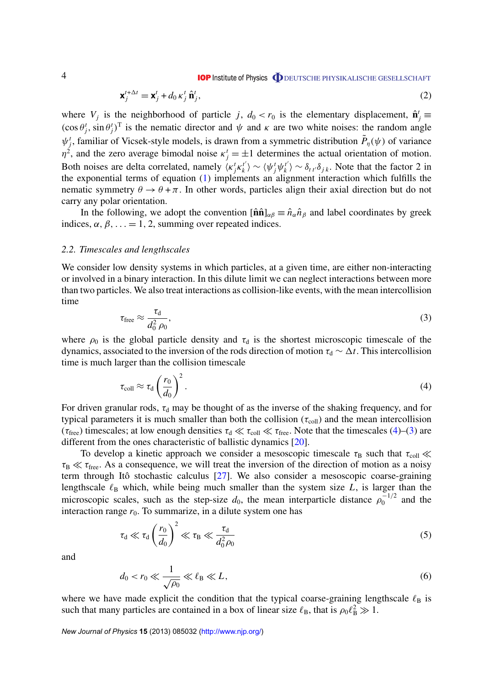**IOP** Institute of Physics **ODEUTSCHE PHYSIKALISCHE GESELLSCHAFT** 

$$
\mathbf{x}_{j}^{t+\Delta t} = \mathbf{x}_{j}^{t} + d_{0} \kappa_{j}^{t} \hat{\mathbf{n}}_{j}^{t},
$$
\n
$$
(2)
$$

<span id="page-4-0"></span>where  $V_j$  is the neighborhood of particle *j*,  $d_0 < r_0$  is the elementary displacement,  $\hat{\mathbf{n}}_j^t \equiv$  $(\cos \theta_j^t, \sin \theta_j^t)^T$  is the nematic director and  $\psi$  and  $\kappa$  are two white noises: the random angle  $\psi_j^t$ , familiar of Vicsek-style models, is drawn from a symmetric distribution  $\tilde{P}_{\eta}(\psi)$  of variance  $\eta^2$ , and the zero average bimodal noise  $\kappa^t_j = \pm 1$  determines the actual orientation of motion. Both noises are delta correlated, namely  $\langle \kappa_j^t \kappa_k^{t'} \rangle$  $\langle \psi_j^t \psi_k^{t'} \rangle$  $\langle k \rangle \sim \delta_{tt'} \delta_{jk}$ . Note that the factor 2 in the exponential terms of equation [\(1\)](#page-3-0) implements an alignment interaction which fulfills the nematic symmetry  $\theta \to \theta + \pi$ . In other words, particles align their axial direction but do not carry any polar orientation.

In the following, we adopt the convention  $[\hat{\mathbf{n}}\hat{\mathbf{n}}]_{\alpha\beta} \equiv \hat{n}_{\alpha}\hat{n}_{\beta}$  and label coordinates by greek indices,  $\alpha$ ,  $\beta$ , ... = 1, 2, summing over repeated indices.

#### *2.2. Timescales and lengthscales*

We consider low density systems in which particles, at a given time, are either non-interacting or involved in a binary interaction. In this dilute limit we can neglect interactions between more than two particles. We also treat interactions as collision-like events, with the mean intercollision time

$$
\tau_{\text{free}} \approx \frac{\tau_{\text{d}}}{d_0^2 \,\rho_0},\tag{3}
$$

where  $\rho_0$  is the global particle density and  $\tau_d$  is the shortest microscopic timescale of the dynamics, associated to the inversion of the rods direction of motion  $\tau_d \sim \Delta t$ . This intercollision time is much larger than the collision timescale

$$
\tau_{\text{coll}} \approx \tau_{\text{d}} \left(\frac{r_0}{d_0}\right)^2. \tag{4}
$$

For driven granular rods,  $\tau_d$  may be thought of as the inverse of the shaking frequency, and for typical parameters it is much smaller than both the collision ( $\tau_{\text{coll}}$ ) and the mean intercollision ( $\tau_{\text{free}}$ ) timescales; at low enough densities  $\tau_d \ll \tau_{\text{coll}} \ll \tau_{\text{free}}$ . Note that the timescales (4)–(3) are different from the ones characteristic of ballistic dynamics [\[20\]](#page-26-0).

To develop a kinetic approach we consider a mesoscopic timescale  $\tau_B$  such that  $\tau_{coll} \ll$  $\tau_{\rm B} \ll \tau_{\rm free}$ . As a consequence, we will treat the inversion of the direction of motion as a noisy term through Itô stochastic calculus  $[27]$  $[27]$ . We also consider a mesoscopic coarse-graining lengthscale  $\ell_B$  which, while being much smaller than the system size *L*, is larger than the microscopic scales, such as the step-size  $d_0$ , the mean interparticle distance  $\rho_0^{-1/2}$  $\int_0^{-1/2}$  and the interaction range  $r_0$ . To summarize, in a dilute system one has

$$
\tau_{\rm d} \ll \tau_{\rm d} \left(\frac{r_0}{d_0}\right)^2 \ll \tau_{\rm B} \ll \frac{\tau_{\rm d}}{d_0^2 \rho_0} \tag{5}
$$

and

$$
d_0 < r_0 \ll \frac{1}{\sqrt{\rho_0}} \ll \ell_B \ll L,\tag{6}
$$

where we have made explicit the condition that the typical coarse-graining lengthscale  $\ell_B$  is such that many particles are contained in a box of linear size  $\ell_B$ , that is  $\rho_0 \ell_B^2 \gg 1$ .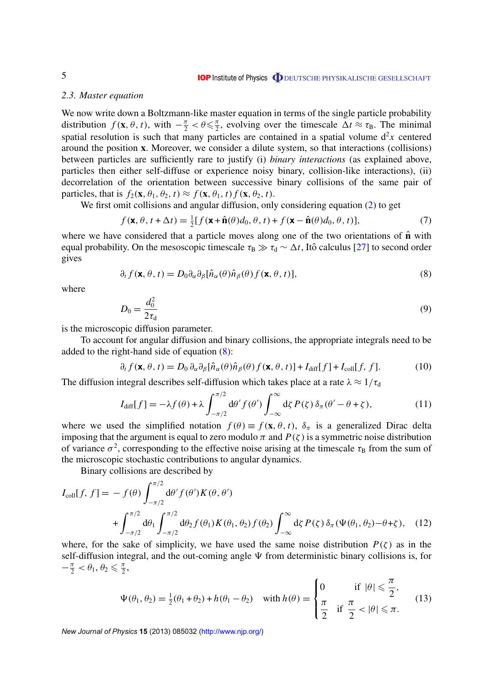#### <span id="page-5-0"></span>*2.3. Master equation*

We now write down a Boltzmann-like master equation in terms of the single particle probability distribution  $f$  (**x**,  $\theta$ ,  $t$ ), with  $-\frac{\pi}{2} < \theta \le \frac{\pi}{2}$  $\frac{\pi}{2}$ , evolving over the timescale  $\Delta t \approx \tau_{\rm B}$ . The minimal spatial resolution is such that many particles are contained in a spatial volume  $d^2x$  centered around the position **x**. Moreover, we consider a dilute system, so that interactions (collisions) between particles are sufficiently rare to justify (i) *binary interactions* (as explained above, particles then either self-diffuse or experience noisy binary, collision-like interactions), (ii) decorrelation of the orientation between successive binary collisions of the same pair of particles, that is  $f_2(\mathbf{x}, \theta_1, \theta_2, t) \approx f(\mathbf{x}, \theta_1, t) f(\mathbf{x}, \theta_2, t)$ .

We first omit collisions and angular diffusion, only considering equation [\(2\)](#page-4-0) to get

$$
f(\mathbf{x}, \theta, t + \Delta t) = \frac{1}{2} [f(\mathbf{x} + \hat{\mathbf{n}}(\theta) d_0, \theta, t) + f(\mathbf{x} - \hat{\mathbf{n}}(\theta) d_0, \theta, t)],
$$
\n(7)

where we have considered that a particle moves along one of the two orientations of  $\hat{\bf{n}}$  with equal probability. On the mesoscopic timescale  $\tau_B \gg \tau_d \sim \Delta t$ , Itô calculus [[27\]](#page-27-0) to second order gives

$$
\partial_t f(\mathbf{x}, \theta, t) = D_0 \partial_\alpha \partial_\beta [\hat{n}_\alpha(\theta) \hat{n}_\beta(\theta) f(\mathbf{x}, \theta, t)],
$$
\n(8)

where

$$
D_0 = \frac{d_0^2}{2\tau_d} \tag{9}
$$

is the microscopic diffusion parameter.

To account for angular diffusion and binary collisions, the appropriate integrals need to be added to the right-hand side of equation (8):

$$
\partial_t f(\mathbf{x}, \theta, t) = D_0 \, \partial_\alpha \partial_\beta [\hat{n}_\alpha(\theta) \hat{n}_\beta(\theta) f(\mathbf{x}, \theta, t)] + I_{\text{diff}}[f] + I_{\text{coll}}[f, f]. \tag{10}
$$

The diffusion integral describes self-diffusion which takes place at a rate  $\lambda \approx 1/\tau_d$ 

$$
I_{\text{diff}}[f] = -\lambda f(\theta) + \lambda \int_{-\pi/2}^{\pi/2} d\theta' f(\theta') \int_{-\infty}^{\infty} d\zeta P(\zeta) \, \delta_{\pi}(\theta' - \theta + \zeta), \tag{11}
$$

where we used the simplified notation  $f(\theta) \equiv f(\mathbf{x}, \theta, t)$ ,  $\delta_{\pi}$  is a generalized Dirac delta imposing that the argument is equal to zero modulo  $\pi$  and  $P(\zeta)$  is a symmetric noise distribution of variance  $\sigma^2$ , corresponding to the effective noise arising at the timescale  $\tau_B$  from the sum of the microscopic stochastic contributions to angular dynamics.

Binary collisions are described by

$$
I_{\text{coll}}[f, f] = -f(\theta) \int_{-\pi/2}^{\pi/2} d\theta' f(\theta') K(\theta, \theta')
$$
  
+ 
$$
\int_{-\pi/2}^{\pi/2} d\theta_1 \int_{-\pi/2}^{\pi/2} d\theta_2 f(\theta_1) K(\theta_1, \theta_2) f(\theta_2) \int_{-\infty}^{\infty} d\zeta P(\zeta) \delta_{\pi} (\Psi(\theta_1, \theta_2) - \theta + \zeta), \quad (12)
$$

where, for the sake of simplicity, we have used the same noise distribution  $P(\zeta)$  as in the self-diffusion integral, and the out-coming angle  $\Psi$  from deterministic binary collisions is, for  $-\frac{\pi}{2} < \theta_1, \theta_2 \leqslant \frac{\pi}{2}$  $\frac{\pi}{2}$ ,

$$
\Psi(\theta_1, \theta_2) = \frac{1}{2}(\theta_1 + \theta_2) + h(\theta_1 - \theta_2) \quad \text{with } h(\theta) = \begin{cases} 0 & \text{if } |\theta| \leq \frac{\pi}{2}, \\ \frac{\pi}{2} & \text{if } \frac{\pi}{2} < |\theta| \leq \pi. \end{cases} \tag{13}
$$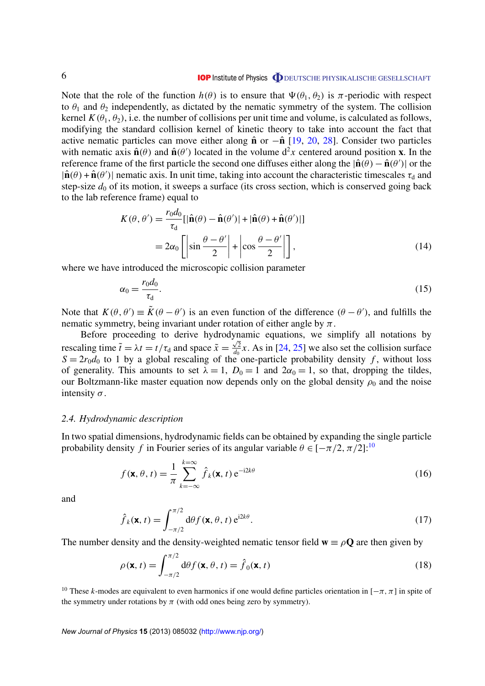<span id="page-6-0"></span>Note that the role of the function  $h(\theta)$  is to ensure that  $\Psi(\theta_1, \theta_2)$  is  $\pi$ -periodic with respect to  $\theta_1$  and  $\theta_2$  independently, as dictated by the nematic symmetry of the system. The collision kernel  $K(\theta_1, \theta_2)$ , i.e. the number of collisions per unit time and volume, is calculated as follows, modifying the standard collision kernel of kinetic theory to take into account the fact that active nematic particles can move either along  $\hat{\bf{n}}$  or − $\hat{\bf{n}}$  [\[19,](#page-26-0) [20,](#page-26-0) [28\]](#page-27-0). Consider two particles with nematic axis  $\hat{\mathbf{n}}(\theta)$  and  $\hat{\mathbf{n}}(\theta')$  located in the volume  $d^2x$  centered around position **x**. In the reference frame of the first particle the second one diffuses either along the  $|\hat{\bf n}(\theta) - \hat{\bf n}(\theta')|$  or the  $|\hat{\mathbf{n}}(\theta) + \hat{\mathbf{n}}(\theta')|$  nematic axis. In unit time, taking into account the characteristic timescales  $\tau_d$  and step-size  $d_0$  of its motion, it sweeps a surface (its cross section, which is conserved going back to the lab reference frame) equal to

$$
K(\theta, \theta') = \frac{r_0 d_0}{\tau_d} [|\hat{\mathbf{n}}(\theta) - \hat{\mathbf{n}}(\theta')| + |\hat{\mathbf{n}}(\theta) + \hat{\mathbf{n}}(\theta')|]
$$
  
=  $2\alpha_0 \left[ \left| \sin \frac{\theta - \theta'}{2} \right| + \left| \cos \frac{\theta - \theta'}{2} \right| \right],$  (14)

where we have introduced the microscopic collision parameter

$$
\alpha_0 = \frac{r_0 d_0}{\tau_d}.\tag{15}
$$

Note that  $K(\theta, \theta') \equiv \tilde{K}(\theta - \theta')$  is an even function of the difference  $(\theta - \theta')$ , and fulfills the nematic symmetry, being invariant under rotation of either angle by  $\pi$ .

Before proceeding to derive hydrodynamic equations, we simplify all notations by rescaling time  $\tilde{t} = \lambda t = t/\tau_d$  and space  $\tilde{x} = \frac{\sqrt{2}}{d\rho}$  $\frac{\sqrt{2}}{d_0}$  x. As in [\[24,](#page-26-0) [25\]](#page-26-0) we also set the collision surface  $S = 2r_0d_0$  to 1 by a global rescaling of the one-particle probability density f, without loss of generality. This amounts to set  $\lambda = 1$ ,  $D_0 = 1$  and  $2\alpha_0 = 1$ , so that, dropping the tildes, our Boltzmann-like master equation now depends only on the global density  $\rho_0$  and the noise intensity  $\sigma$ .

#### *2.4. Hydrodynamic description*

In two spatial dimensions, hydrodynamic fields can be obtained by expanding the single particle probability density *f* in Fourier series of its angular variable  $\theta \in [-\pi/2, \pi/2]$ :<sup>10</sup>

$$
f(\mathbf{x}, \theta, t) = \frac{1}{\pi} \sum_{k=-\infty}^{k=\infty} \hat{f}_k(\mathbf{x}, t) e^{-i2k\theta}
$$
(16)

and

$$
\hat{f}_k(\mathbf{x}, t) = \int_{-\pi/2}^{\pi/2} d\theta f(\mathbf{x}, \theta, t) e^{i2k\theta}.
$$
\n(17)

The number density and the density-weighted nematic tensor field  $\mathbf{w} \equiv \rho \mathbf{Q}$  are then given by

$$
\rho(\mathbf{x}, t) = \int_{-\pi/2}^{\pi/2} d\theta f(\mathbf{x}, \theta, t) = \hat{f}_0(\mathbf{x}, t)
$$
\n(18)

<sup>10</sup> These *k*-modes are equivalent to even harmonics if one would define particles orientation in  $[-\pi, \pi]$  in spite of the symmetry under rotations by  $\pi$  (with odd ones being zero by symmetry).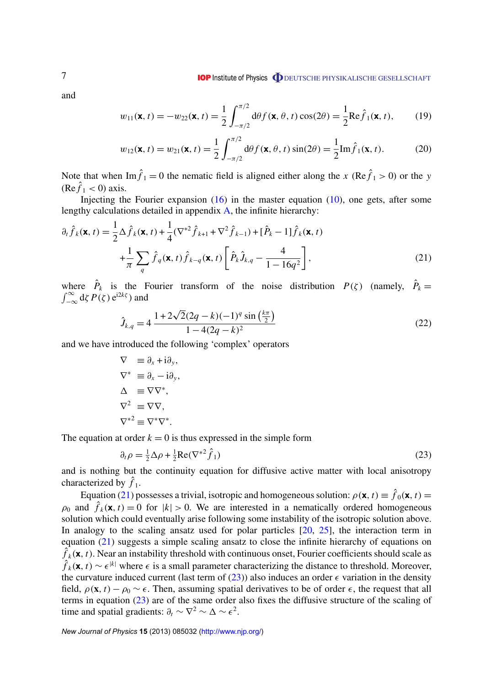**IOP** Institute of Physics **ODEUTSCHE PHYSIKALISCHE GESELLSCHAFT** 

<span id="page-7-0"></span>and

$$
w_{11}(\mathbf{x}, t) = -w_{22}(\mathbf{x}, t) = \frac{1}{2} \int_{-\pi/2}^{\pi/2} d\theta f(\mathbf{x}, \theta, t) \cos(2\theta) = \frac{1}{2} \text{Re}\hat{f}_1(\mathbf{x}, t), \quad (19)
$$

$$
w_{12}(\mathbf{x}, t) = w_{21}(\mathbf{x}, t) = \frac{1}{2} \int_{-\pi/2}^{\pi/2} d\theta f(\mathbf{x}, \theta, t) \sin(2\theta) = \frac{1}{2} \text{Im} \hat{f}_1(\mathbf{x}, t).
$$
 (20)

Note that when  $\text{Im}\hat{f}_1 = 0$  the nematic field is aligned either along the *x* (Re $\hat{f}_1 > 0$ ) or the *y*  $(Re \hat{f}_1 < 0)$  axis.

Injecting the Fourier expansion  $(16)$  in the master equation  $(10)$ , one gets, after some lengthy calculations detailed in appendix [A,](#page-20-0) the infinite hierarchy:

$$
\partial_t \hat{f}_k(\mathbf{x}, t) = \frac{1}{2} \Delta \hat{f}_k(\mathbf{x}, t) + \frac{1}{4} (\nabla^{*2} \hat{f}_{k+1} + \nabla^2 \hat{f}_{k-1}) + [\hat{P}_k - 1] \hat{f}_k(\mathbf{x}, t)
$$

$$
+ \frac{1}{\pi} \sum_q \hat{f}_q(\mathbf{x}, t) \hat{f}_{k-q}(\mathbf{x}, t) \left[ \hat{P}_k \hat{J}_{k,q} - \frac{4}{1 - 16q^2} \right],
$$
(21)

where  $\hat{P}_k$  is the Fourier transform of the noise distribution  $P(\zeta)$  (namely,  $\hat{P}_k =$  $\int_{-\infty}^{\infty} d\zeta P(\zeta) e^{i2k\zeta}$  and

$$
\hat{J}_{k,q} = 4 \frac{1 + 2\sqrt{2}(2q - k)(-1)^q \sin\left(\frac{k\pi}{2}\right)}{1 - 4(2q - k)^2}
$$
\n(22)

and we have introduced the following 'complex' operators

$$
\nabla \equiv \partial_x + i\partial_y,
$$
  
\n
$$
\nabla^* \equiv \partial_x - i\partial_y,
$$
  
\n
$$
\Delta \equiv \nabla \nabla^*,
$$
  
\n
$$
\nabla^2 \equiv \nabla \nabla,
$$
  
\n
$$
\nabla^{*2} \equiv \nabla^* \nabla^*.
$$

The equation at order  $k = 0$  is thus expressed in the simple form

$$
\partial_t \rho = \frac{1}{2} \Delta \rho + \frac{1}{2} \text{Re}(\nabla^*^2 \hat{f}_1)
$$
\n(23)

and is nothing but the continuity equation for diffusive active matter with local anisotropy characterized by  $\hat{f}_1$ .

Equation (21) possesses a trivial, isotropic and homogeneous solution:  $\rho(\mathbf{x}, t) \equiv \hat{f}_0(\mathbf{x}, t)$  $\rho_0$  and  $\hat{f}_k(\mathbf{x}, t) = 0$  for  $|k| > 0$ . We are interested in a nematically ordered homogeneous solution which could eventually arise following some instability of the isotropic solution above. In analogy to the scaling ansatz used for polar particles [\[20,](#page-26-0) [25\]](#page-26-0), the interaction term in equation (21) suggests a simple scaling ansatz to close the infinite hierarchy of equations on  $\hat{f}_k(\mathbf{x}, t)$ . Near an instability threshold with continuous onset, Fourier coefficients should scale as  $\hat{f}_k(x, t) \sim \epsilon^{|k|}$  where  $\epsilon$  is a small parameter characterizing the distance to threshold. Moreover, the curvature induced current (last term of  $(23)$ ) also induces an order  $\epsilon$  variation in the density field,  $\rho(\mathbf{x}, t) - \rho_0 \sim \epsilon$ . Then, assuming spatial derivatives to be of order  $\epsilon$ , the request that all terms in equation (23) are of the same order also fixes the diffusive structure of the scaling of time and spatial gradients:  $\partial_t \sim \nabla^2 \sim \Delta \sim \epsilon^2$ .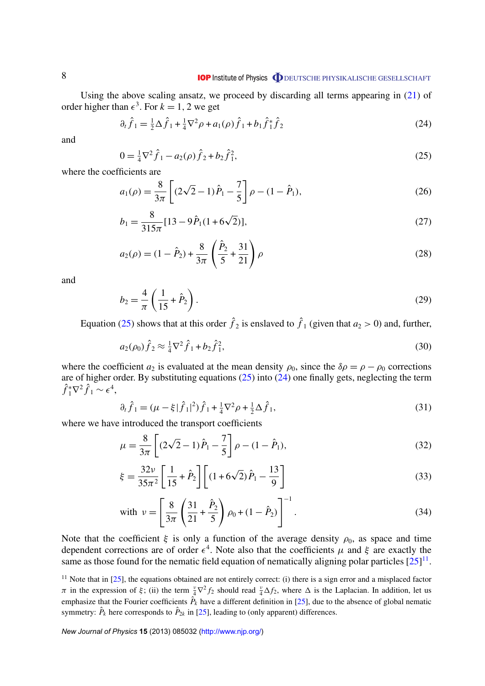<span id="page-8-0"></span>Using the above scaling ansatz, we proceed by discarding all terms appearing in  $(21)$  of order higher than  $\epsilon^3$ . For  $k = 1, 2$  we get

$$
\partial_t \hat{f}_1 = \frac{1}{2} \Delta \hat{f}_1 + \frac{1}{4} \nabla^2 \rho + a_1(\rho) \hat{f}_1 + b_1 \hat{f}_1^* \hat{f}_2 \tag{24}
$$

and

$$
0 = \frac{1}{4}\nabla^2 \hat{f}_1 - a_2(\rho)\hat{f}_2 + b_2\hat{f}_1^2,\tag{25}
$$

where the coefficients are

$$
a_1(\rho) = \frac{8}{3\pi} \left[ (2\sqrt{2} - 1)\hat{P}_1 - \frac{7}{5} \right] \rho - (1 - \hat{P}_1),
$$
\n(26)

$$
b_1 = \frac{8}{315\pi} [13 - 9\hat{P}_1(1 + 6\sqrt{2})],
$$
\n(27)

$$
a_2(\rho) = (1 - \hat{P}_2) + \frac{8}{3\pi} \left(\frac{\hat{P}_2}{5} + \frac{31}{21}\right) \rho
$$
 (28)

and

$$
b_2 = \frac{4}{\pi} \left( \frac{1}{15} + \hat{P}_2 \right).
$$
 (29)

Equation (25) shows that at this order  $\hat{f}_2$  is enslaved to  $\hat{f}_1$  (given that  $a_2 > 0$ ) and, further,

$$
a_2(\rho_0)\hat{f}_2 \approx \frac{1}{4}\nabla^2 \hat{f}_1 + b_2 \hat{f}_1^2,\tag{30}
$$

where the coefficient  $a_2$  is evaluated at the mean density  $\rho_0$ , since the  $\delta \rho = \rho - \rho_0$  corrections are of higher order. By substituting equations (25) into (24) one finally gets, neglecting the term  $\hat{f}_1^* \nabla^2 \hat{f}_1 \sim \epsilon^4,$ 

$$
\partial_t \hat{f}_1 = (\mu - \xi |\hat{f}_1|^2) \hat{f}_1 + \frac{1}{4} \nabla^2 \rho + \frac{1}{2} \Delta \hat{f}_1,\tag{31}
$$

where we have introduced the transport coefficients

$$
\mu = \frac{8}{3\pi} \left[ (2\sqrt{2} - 1)\hat{P}_1 - \frac{7}{5} \right] \rho - (1 - \hat{P}_1),\tag{32}
$$

$$
\xi = \frac{32\nu}{35\pi^2} \left[ \frac{1}{15} + \hat{P}_2 \right] \left[ (1 + 6\sqrt{2}) \hat{P}_1 - \frac{13}{9} \right]
$$
(33)

with 
$$
v = \left[\frac{8}{3\pi} \left(\frac{31}{21} + \frac{\hat{P}_2}{5}\right) \rho_0 + (1 - \hat{P}_2)\right]^{-1}
$$
. (34)

Note that the coefficient  $\xi$  is only a function of the average density  $\rho_0$ , as space and time dependent corrections are of order  $\epsilon^4$ . Note also that the coefficients  $\mu$  and  $\xi$  are exactly the same as those found for the nematic field equation of nematically aligning polar particles  $[25]^{11}$  $[25]^{11}$ .

<sup>11</sup> Note that in  $[25]$ , the equations obtained are not entirely correct: (i) there is a sign error and a misplaced factor  $\pi$  in the expression of  $\xi$ ; (ii) the term  $\frac{v}{4}\nabla^2 f_2$  should read  $\frac{v}{4}\Delta f_2$ , where  $\Delta$  is the Laplacian. In addition, let us emphasize that the Fourier coefficients  $\hat{P}_k$  have a different definition in [\[25\]](#page-26-0), due to the absence of global nematic symmetry:  $\hat{P}_k$  here corresponds to  $\hat{P}_{2k}$  in [\[25\]](#page-26-0), leading to (only apparent) differences.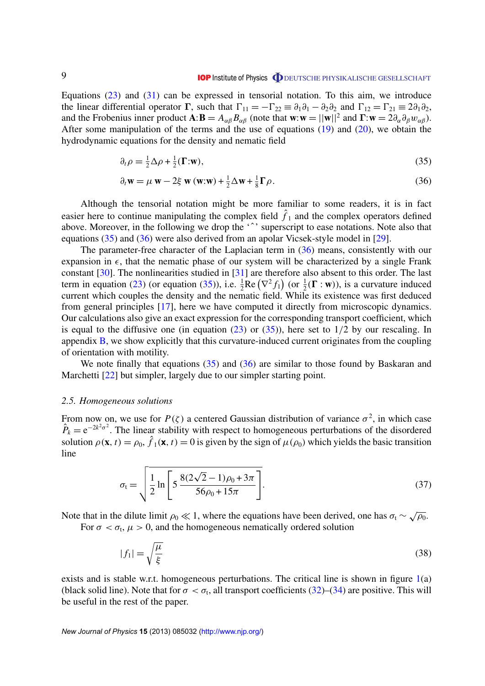<span id="page-9-0"></span>Equations [\(23\)](#page-7-0) and [\(31\)](#page-8-0) can be expressed in tensorial notation. To this aim, we introduce the linear differential operator Γ, such that  $\Gamma_{11} = -\Gamma_{22} \equiv \partial_1 \partial_1 - \partial_2 \partial_2$  and  $\Gamma_{12} = \Gamma_{21} \equiv 2\partial_1 \partial_2$ , and the Frobenius inner product  $\mathbf{A}:\mathbf{B} = A_{\alpha\beta}B_{\alpha\beta}$  (note that  $\mathbf{w}:\mathbf{w} = ||\mathbf{w}||^2$  and  $\mathbf{\Gamma}:\mathbf{w} = 2\partial_{\alpha}\partial_{\beta}w_{\alpha\beta}$ ). After some manipulation of the terms and the use of equations  $(19)$  and  $(20)$ , we obtain the hydrodynamic equations for the density and nematic field

$$
\partial_t \rho = \frac{1}{2} \Delta \rho + \frac{1}{2} (\Gamma : \mathbf{w}),\tag{35}
$$

$$
\partial_t \mathbf{w} = \mu \mathbf{w} - 2\xi \mathbf{w} (\mathbf{w} \cdot \mathbf{w}) + \frac{1}{2} \Delta \mathbf{w} + \frac{1}{8} \Gamma \rho.
$$
 (36)

Although the tensorial notation might be more familiar to some readers, it is in fact easier here to continue manipulating the complex field  $\hat{f}_1$  and the complex operators defined above. Moreover, in the following we drop the '<sup>^</sup>' superscript to ease notations. Note also that equations (35) and (36) were also derived from an apolar Vicsek-style model in [\[29\]](#page-27-0).

The parameter-free character of the Laplacian term in (36) means, consistently with our expansion in  $\epsilon$ , that the nematic phase of our system will be characterized by a single Frank constant [\[30\]](#page-27-0). The nonlinearities studied in [\[31\]](#page-27-0) are therefore also absent to this order. The last term in equation [\(23\)](#page-7-0) (or equation (35)), i.e.  $\frac{1}{2}$ Re  $(\nabla^2 f_1)$  (or  $\frac{1}{2}(\mathbf{\Gamma} : \mathbf{w})$ ), is a curvature induced current which couples the density and the nematic field. While its existence was first deduced from general principles [\[17\]](#page-26-0), here we have computed it directly from microscopic dynamics. Our calculations also give an exact expression for the corresponding transport coefficient, which is equal to the diffusive one (in equation  $(23)$  or  $(35)$ ), here set to  $1/2$  by our rescaling. In appendix [B,](#page-22-0) we show explicitly that this curvature-induced current originates from the coupling of orientation with motility.

We note finally that equations  $(35)$  and  $(36)$  are similar to those found by Baskaran and Marchetti [\[22\]](#page-26-0) but simpler, largely due to our simpler starting point.

#### *2.5. Homogeneous solutions*

From now on, we use for  $P(\zeta)$  a centered Gaussian distribution of variance  $\sigma^2$ , in which case  $\hat{P}_k = e^{-2k^2\sigma^2}$ . The linear stability with respect to homogeneous perturbations of the disordered solution  $\rho(\mathbf{x}, t) = \rho_0$ ,  $\hat{f}_1(\mathbf{x}, t) = 0$  is given by the sign of  $\mu(\rho_0)$  which yields the basic transition line

$$
\sigma_{t} = \sqrt{\frac{1}{2} \ln \left[ 5 \frac{8(2\sqrt{2} - 1)\rho_0 + 3\pi}{56\rho_0 + 15\pi} \right]}.
$$
\n(37)

Note that in the dilute limit  $\rho_0 \ll 1$ , where the equations have been derived, one has  $\sigma_t \sim \sqrt{\rho_0}$ .

For  $\sigma < \sigma_t$ ,  $\mu > 0$ , and the homogeneous nematically ordered solution

$$
|f_1| = \sqrt{\frac{\mu}{\xi}}\tag{38}
$$

exists and is stable w.r.t. homogeneous perturbations. The critical line is shown in figure  $1(a)$  $1(a)$ (black solid line). Note that for  $\sigma < \sigma_t$ , all transport coefficients [\(32\)](#page-8-0)–[\(34\)](#page-8-0) are positive. This will be useful in the rest of the paper.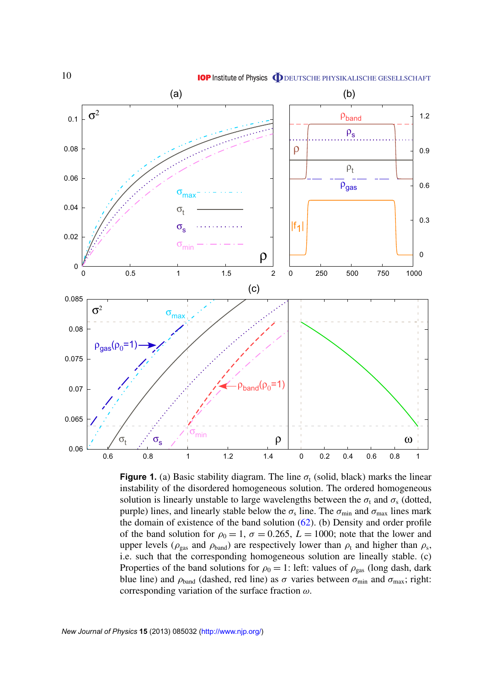<span id="page-10-0"></span>

**Figure 1.** (a) Basic stability diagram. The line  $\sigma_t$  (solid, black) marks the linear instability of the disordered homogeneous solution. The ordered homogeneous solution is linearly unstable to large wavelengths between the  $\sigma_t$  and  $\sigma_s$  (dotted, purple) lines, and linearly stable below the  $\sigma_s$  line. The  $\sigma_{min}$  and  $\sigma_{max}$  lines mark the domain of existence of the band solution  $(62)$ . (b) Density and order profile of the band solution for  $\rho_0 = 1$ ,  $\sigma = 0.265$ ,  $L = 1000$ ; note that the lower and upper levels ( $\rho_{\rm gas}$  and  $\rho_{\rm band}$ ) are respectively lower than  $\rho_{\rm t}$  and higher than  $\rho_{\rm s}$ , i.e. such that the corresponding homogeneous solution are lineally stable. (c) Properties of the band solutions for  $\rho_0 = 1$ : left: values of  $\rho_{\text{gas}}$  (long dash, dark blue line) and  $\rho_{band}$  (dashed, red line) as  $\sigma$  varies between  $\sigma_{min}$  and  $\sigma_{max}$ ; right: corresponding variation of the surface fraction  $\omega$ .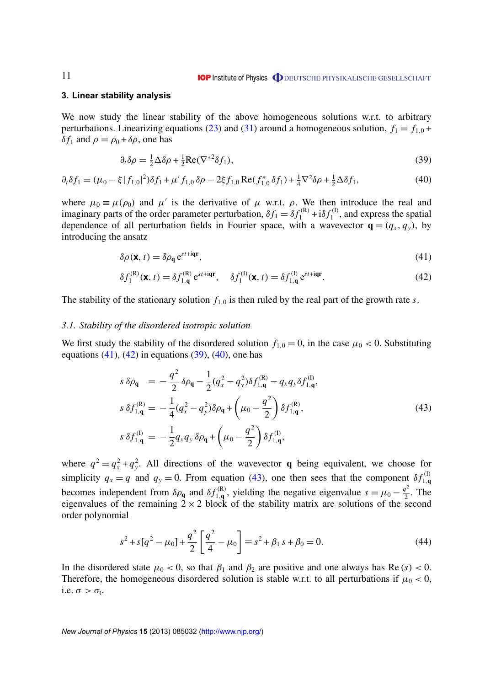#### <span id="page-11-0"></span>**3. Linear stability analysis**

We now study the linear stability of the above homogeneous solutions w.r.t. to arbitrary perturbations. Linearizing equations [\(23\)](#page-7-0) and [\(31\)](#page-8-0) around a homogeneous solution,  $f_1 = f_{1,0}$  +  $δf_1$  and  $ρ = ρ_0 + δρ$ , one has

$$
\partial_t \delta \rho = \frac{1}{2} \Delta \delta \rho + \frac{1}{2} \text{Re}(\nabla^*^2 \delta f_1),\tag{39}
$$

$$
\partial_t \delta f_1 = (\mu_0 - \xi |f_{1,0}|^2) \delta f_1 + \mu' f_{1,0} \delta \rho - 2\xi f_{1,0} \operatorname{Re}(f_{1,0}^* \delta f_1) + \frac{1}{4} \nabla^2 \delta \rho + \frac{1}{2} \Delta \delta f_1,\tag{40}
$$

where  $\mu_0 \equiv \mu(\rho_0)$  and  $\mu'$  is the derivative of  $\mu$  w.r.t.  $\rho$ . We then introduce the real and imaginary parts of the order parameter perturbation,  $\delta f_1 = \delta f_1^{(R)} + i \delta f_1^{(I)}$  $t_1^{(1)}$ , and express the spatial dependence of all perturbation fields in Fourier space, with a wavevector  $\mathbf{q} = (q_x, q_y)$ , by introducing the ansatz

$$
\delta \rho(\mathbf{x}, t) = \delta \rho_{\mathbf{q}} e^{st + i\mathbf{q}\mathbf{r}},\tag{41}
$$

$$
\delta f_1^{(R)}(\mathbf{x}, t) = \delta f_{1, \mathbf{q}}^{(R)} e^{st + i\mathbf{q} \mathbf{r}}, \quad \delta f_1^{(I)}(\mathbf{x}, t) = \delta f_{1, \mathbf{q}}^{(I)} e^{st + i\mathbf{q} \mathbf{r}}.
$$
\n(42)

The stability of the stationary solution  $f_{1,0}$  is then ruled by the real part of the growth rate *s*.

#### *3.1. Stability of the disordered isotropic solution*

We first study the stability of the disordered solution  $f_{1,0} = 0$ , in the case  $\mu_0 < 0$ . Substituting equations  $(41)$ ,  $(42)$  in equations  $(39)$ ,  $(40)$ , one has

$$
s \,\delta\rho_{\mathbf{q}} = -\frac{q^2}{2} \delta\rho_{\mathbf{q}} - \frac{1}{2} (q_x^2 - q_y^2) \delta f_{1,\mathbf{q}}^{(\mathbf{R})} - q_x q_y \delta f_{1,\mathbf{q}}^{(\mathbf{I})},
$$
  
\n
$$
s \,\delta f_{1,\mathbf{q}}^{(\mathbf{R})} = -\frac{1}{4} (q_x^2 - q_y^2) \delta\rho_{\mathbf{q}} + \left(\mu_0 - \frac{q^2}{2}\right) \delta f_{1,\mathbf{q}}^{(\mathbf{R})},
$$
  
\n
$$
s \,\delta f_{1,\mathbf{q}}^{(\mathbf{I})} = -\frac{1}{2} q_x q_y \delta\rho_{\mathbf{q}} + \left(\mu_0 - \frac{q^2}{2}\right) \delta f_{1,\mathbf{q}}^{(\mathbf{I})},
$$
\n(43)

where  $q^2 = q_x^2 + q_y^2$ . All directions of the wavevector **q** being equivalent, we choose for simplicity  $q_x = q$  and  $q_y = 0$ . From equation (43), one then sees that the component  $\delta f_{1,q}^{(1)}$ 1,**q** becomes independent from  $\delta \rho_{q}$  and  $\delta f_{1,q}^{(R)}$  $t_{1,q}^{(R)}$ , yielding the negative eigenvalue  $s = \mu_0 - \frac{q^2}{2}$  $\frac{q}{2}$ . The eigenvalues of the remaining  $2 \times 2$  block of the stability matrix are solutions of the second order polynomial

$$
s^{2} + s[q^{2} - \mu_{0}] + \frac{q^{2}}{2} \left[ \frac{q^{2}}{4} - \mu_{0} \right] \equiv s^{2} + \beta_{1} s + \beta_{0} = 0.
$$
 (44)

In the disordered state  $\mu_0 < 0$ , so that  $\beta_1$  and  $\beta_2$  are positive and one always has Re (*s*) < 0. Therefore, the homogeneous disordered solution is stable w.r.t. to all perturbations if  $\mu_0 < 0$ , i.e.  $\sigma > \sigma_t$ .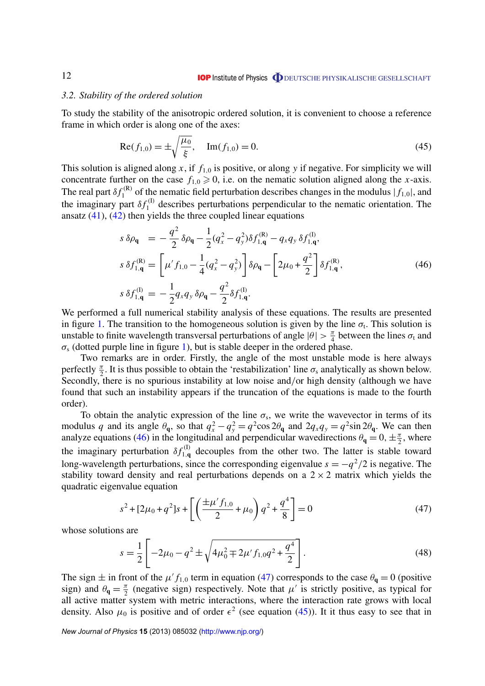#### <span id="page-12-0"></span>*3.2. Stability of the ordered solution*

To study the stability of the anisotropic ordered solution, it is convenient to choose a reference frame in which order is along one of the axes:

$$
Re(f_{1,0}) = \pm \sqrt{\frac{\mu_0}{\xi}}, \quad Im(f_{1,0}) = 0.
$$
 (45)

This solution is aligned along  $x$ , if  $f_{1,0}$  is positive, or along  $y$  if negative. For simplicity we will concentrate further on the case  $f_{1,0} \ge 0$ , i.e. on the nematic solution aligned along the *x*-axis. The real part  $\delta f_1^{(\mathsf{R})}$  $f_1^{(R)}$  of the nematic field perturbation describes changes in the modulus  $|f_{1,0}|$ , and the imaginary part  $\delta f_1^{(1)}$  $I_1^{(1)}$  describes perturbations perpendicular to the nematic orientation. The ansatz  $(41)$ ,  $(42)$  then yields the three coupled linear equations

$$
s \,\delta\rho_{\mathbf{q}} = -\frac{q^2}{2} \delta\rho_{\mathbf{q}} - \frac{1}{2} (q_x^2 - q_y^2) \delta f_{1,\mathbf{q}}^{(\mathbf{R})} - q_x q_y \,\delta f_{1,\mathbf{q}}^{(\mathbf{I})},
$$
  
\n
$$
s \,\delta f_{1,\mathbf{q}}^{(\mathbf{R})} = \left[ \mu' f_{1,0} - \frac{1}{4} (q_x^2 - q_y^2) \right] \delta\rho_{\mathbf{q}} - \left[ 2\mu_0 + \frac{q^2}{2} \right] \delta f_{1,\mathbf{q}}^{(\mathbf{R})},
$$
  
\n
$$
s \,\delta f_{1,\mathbf{q}}^{(\mathbf{I})} = -\frac{1}{2} q_x q_y \,\delta\rho_{\mathbf{q}} - \frac{q^2}{2} \delta f_{1,\mathbf{q}}^{(\mathbf{I})}.
$$
\n(46)

We performed a full numerical stability analysis of these equations. The results are presented in figure [1.](#page-10-0) The transition to the homogeneous solution is given by the line  $\sigma_t$ . This solution is unstable to finite wavelength transversal perturbations of angle  $|\theta| > \frac{\pi}{4}$  $\frac{\pi}{4}$  between the lines  $\sigma_t$  and  $\sigma_s$  (dotted purple line in figure [1\)](#page-10-0), but is stable deeper in the ordered phase.

Two remarks are in order. Firstly, the angle of the most unstable mode is here always perfectly  $\frac{\pi}{2}$ . It is thus possible to obtain the 'restabilization' line  $\sigma_s$  analytically as shown below. Secondly, there is no spurious instability at low noise and/or high density (although we have found that such an instability appears if the truncation of the equations is made to the fourth order).

To obtain the analytic expression of the line  $\sigma_s$ , we write the wavevector in terms of its modulus *q* and its angle  $\theta_q$ , so that  $q_x^2 - q_y^2 = q^2 \cos 2\theta_q$  and  $2q_x q_y = q^2 \sin 2\theta_q$ . We can then analyze equations (46) in the longitudinal and perpendicular wavedirections  $\theta_q = 0, \pm \frac{\pi}{2}$  $\frac{\pi}{2}$ , where the imaginary perturbation  $\delta f_{1,\alpha}^{(1)}$  $1, q$ <sup>(1)</sup></sup> decouples from the other two. The latter is stable toward long-wavelength perturbations, since the corresponding eigenvalue  $s = -q^2/2$  is negative. The stability toward density and real perturbations depends on a  $2 \times 2$  matrix which yields the quadratic eigenvalue equation

$$
s^{2} + [2\mu_{0} + q^{2}]s + \left[ \left( \frac{\pm \mu' f_{1,0}}{2} + \mu_{0} \right) q^{2} + \frac{q^{4}}{8} \right] = 0
$$
 (47)

whose solutions are

$$
s = \frac{1}{2} \left[ -2\mu_0 - q^2 \pm \sqrt{4\mu_0^2 + 2\mu' f_{1,0} q^2 + \frac{q^4}{2}} \right].
$$
 (48)

The sign  $\pm$  in front of the  $\mu' f_{1,0}$  term in equation (47) corresponds to the case  $\theta_{\bf q} = 0$  (positive sign) and  $\theta_{\mathbf{q}} = \frac{\pi}{2}$  $\frac{\pi}{2}$  (negative sign) respectively. Note that  $\mu'$  is strictly positive, as typical for all active matter system with metric interactions, where the interaction rate grows with local density. Also  $\mu_0$  is positive and of order  $\epsilon^2$  (see equation (45)). It it thus easy to see that in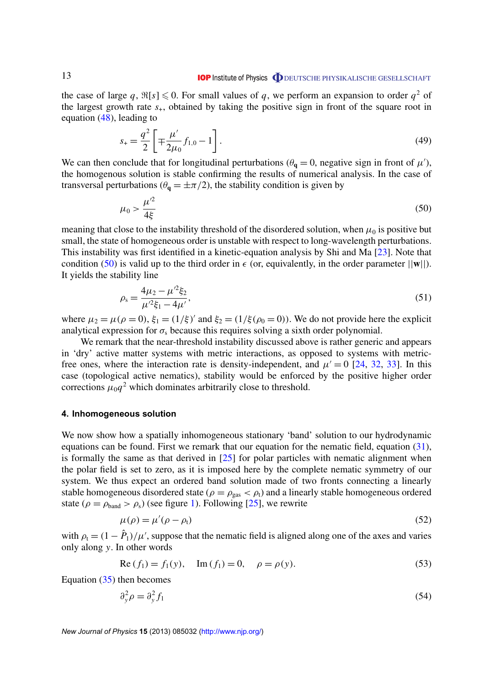<span id="page-13-0"></span>the case of large q,  $\Re[s] \leq 0$ . For small values of q, we perform an expansion to order  $q^2$  of the largest growth rate  $s_{+}$ , obtained by taking the positive sign in front of the square root in equation [\(48\)](#page-12-0), leading to

$$
s_{+} = \frac{q^{2}}{2} \left[ \mp \frac{\mu'}{2\mu_{0}} f_{1,0} - 1 \right].
$$
 (49)

We can then conclude that for longitudinal perturbations ( $\theta_{\bf q} = 0$ , negative sign in front of  $\mu'$ ), the homogenous solution is stable confirming the results of numerical analysis. In the case of transversal perturbations ( $\theta_{q} = \pm \pi/2$ ), the stability condition is given by

$$
\mu_0 > \frac{\mu^2}{4\xi} \tag{50}
$$

meaning that close to the instability threshold of the disordered solution, when  $\mu_0$  is positive but small, the state of homogeneous order is unstable with respect to long-wavelength perturbations. This instability was first identified in a kinetic-equation analysis by Shi and Ma [\[23\]](#page-26-0). Note that condition (50) is valid up to the third order in  $\epsilon$  (or, equivalently, in the order parameter  $||\mathbf{w}||$ ). It yields the stability line

$$
\rho_{s} = \frac{4\mu_{2} - \mu'^{2}\xi_{2}}{\mu'^{2}\xi_{1} - 4\mu'},
$$
\n(51)

where  $\mu_2 = \mu(\rho = 0)$ ,  $\xi_1 = (1/\xi)'$  and  $\xi_2 = (1/\xi(\rho_0 = 0))$ . We do not provide here the explicit analytical expression for  $\sigma_s$  because this requires solving a sixth order polynomial.

We remark that the near-threshold instability discussed above is rather generic and appears in 'dry' active matter systems with metric interactions, as opposed to systems with metricfree ones, where the interaction rate is density-independent, and  $\mu' = 0$  [\[24,](#page-26-0) [32,](#page-27-0) [33\]](#page-27-0). In this case (topological active nematics), stability would be enforced by the positive higher order corrections  $\mu_0 q^2$  which dominates arbitrarily close to threshold.

#### **4. Inhomogeneous solution**

We now show how a spatially inhomogeneous stationary 'band' solution to our hydrodynamic equations can be found. First we remark that our equation for the nematic field, equation [\(31\)](#page-8-0), is formally the same as that derived in [\[25\]](#page-26-0) for polar particles with nematic alignment when the polar field is set to zero, as it is imposed here by the complete nematic symmetry of our system. We thus expect an ordered band solution made of two fronts connecting a linearly stable homogeneous disordered state ( $\rho = \rho_{\rm gas} < \rho_{\rm t}$ ) and a linearly stable homogeneous ordered state ( $\rho = \rho_{\text{band}} > \rho_{\text{s}}$ ) (see figure [1\)](#page-10-0). Following [\[25\]](#page-26-0), we rewrite

$$
\mu(\rho) = \mu'(\rho - \rho_t) \tag{52}
$$

with  $\rho_t = (1 - \hat{P}_1)/\mu'$ , suppose that the nematic field is aligned along one of the axes and varies only along *y*. In other words

Re 
$$
(f_1) = f_1(y)
$$
, Im  $(f_1) = 0$ ,  $\rho = \rho(y)$ . (53)

Equation [\(35\)](#page-9-0) then becomes

$$
\partial_y^2 \rho = \partial_y^2 f_1 \tag{54}
$$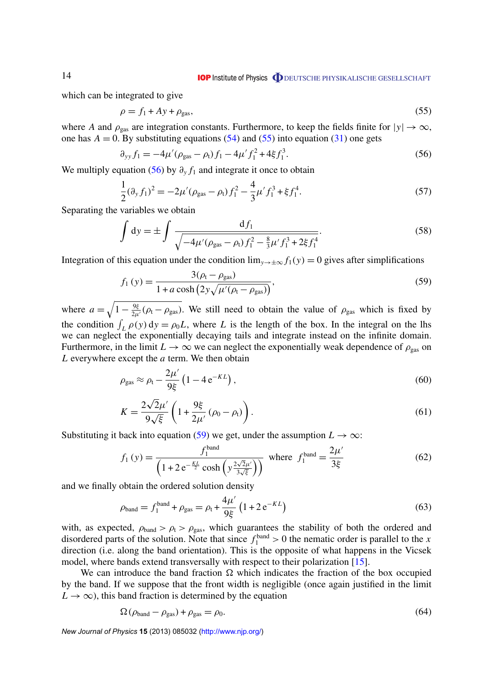# **IOP** Institute of Physics **ODEUTSCHE PHYSIKALISCHE GESELLSCHAFT**

which can be integrated to give

$$
\rho = f_1 + Ay + \rho_{\text{gas}},\tag{55}
$$

where *A* and  $\rho_{\text{gas}}$  are integration constants. Furthermore, to keep the fields finite for  $|y| \to \infty$ , one has  $A = 0$ . By substituting equations [\(54\)](#page-13-0) and (55) into equation [\(31\)](#page-8-0) one gets

$$
\partial_{yy} f_1 = -4\mu' (\rho_{\text{gas}} - \rho_t) f_1 - 4\mu' f_1^2 + 4\xi f_1^3. \tag{56}
$$

We multiply equation (56) by  $\partial_y f_1$  and integrate it once to obtain

$$
\frac{1}{2}(\partial_y f_1)^2 = -2\mu'(\rho_{\text{gas}} - \rho_t)f_1^2 - \frac{4}{3}\mu' f_1^3 + \xi f_1^4.
$$
\n(57)

Separating the variables we obtain

$$
\int dy = \pm \int \frac{df_1}{\sqrt{-4\mu'(\rho_{gas} - \rho_t)f_1^2 - \frac{8}{3}\mu' f_1^3 + 2\xi f_1^4}}.
$$
\n(58)

Integration of this equation under the condition  $\lim_{y\to\pm\infty} f_1(y) = 0$  gives after simplifications

$$
f_1(y) = \frac{3(\rho_t - \rho_{\text{gas}})}{1 + a \cosh\left(2y\sqrt{\mu'(\rho_t - \rho_{\text{gas}})}\right)},
$$
\n(59)

where  $a = \sqrt{1 - \frac{9\xi}{2\mu}(\rho_t - \rho_{\text{gas}})}$ . We still need to obtain the value of  $\rho_{\text{gas}}$  which is fixed by the condition  $\int_L \rho(y) dy = \rho_0 L$ , where *L* is the length of the box. In the integral on the lhs we can neglect the exponentially decaying tails and integrate instead on the infinite domain. Furthermore, in the limit  $L \to \infty$  we can neglect the exponentially weak dependence of  $\rho_{\rm gas}$  on *L* everywhere except the *a* term. We then obtain

$$
\rho_{\rm gas} \approx \rho_{\rm t} - \frac{2\mu'}{9\xi} \left(1 - 4\,\mathrm{e}^{-KL}\right),\tag{60}
$$

$$
K = \frac{2\sqrt{2}\mu'}{9\sqrt{\xi}} \left( 1 + \frac{9\xi}{2\mu'} \left( \rho_0 - \rho_t \right) \right). \tag{61}
$$

Substituting it back into equation (59) we get, under the assumption  $L \to \infty$ :

$$
f_1(y) = \frac{f_1^{\text{band}}}{\left(1 + 2 e^{-\frac{KL}{2}} \cosh\left(y \frac{2\sqrt{2}\mu'}{3\sqrt{\xi}}\right)\right)} \text{ where } f_1^{\text{band}} = \frac{2\mu'}{3\xi} \tag{62}
$$

and we finally obtain the ordered solution density

$$
\rho_{\text{band}} = f_1^{\text{band}} + \rho_{\text{gas}} = \rho_t + \frac{4\mu'}{9\xi} \left( 1 + 2 e^{-KL} \right) \tag{63}
$$

with, as expected,  $\rho_{band} > \rho_t > \rho_{gas}$ , which guarantees the stability of both the ordered and disordered parts of the solution. Note that since  $f_1^{\text{band}} > 0$  the nematic order is parallel to the *x* direction (i.e. along the band orientation). This is the opposite of what happens in the Vicsek model, where bands extend transversally with respect to their polarization [\[15\]](#page-26-0).

We can introduce the band fraction  $\Omega$  which indicates the fraction of the box occupied by the band. If we suppose that the front width is negligible (once again justified in the limit  $L \rightarrow \infty$ , this band fraction is determined by the equation

$$
\Omega\left(\rho_{\text{band}} - \rho_{\text{gas}}\right) + \rho_{\text{gas}} = \rho_0. \tag{64}
$$

*New Journal of Physics* **15** (2013) 085032 [\(http://www.njp.org/\)](http://www.njp.org/)

<span id="page-14-0"></span>14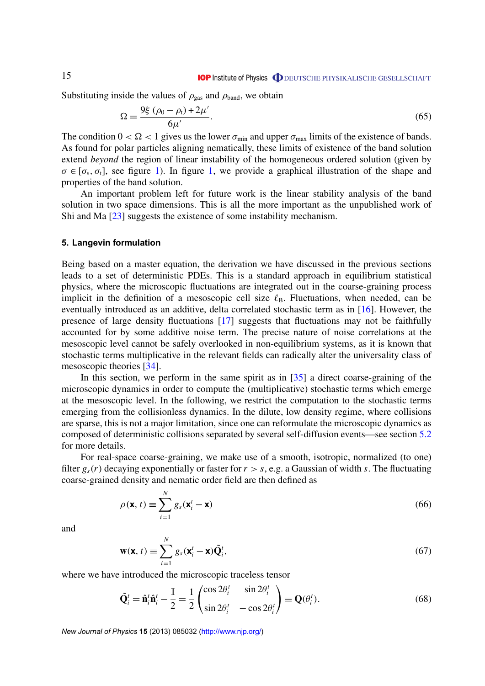<span id="page-15-0"></span>Substituting inside the values of  $\rho_{\text{gas}}$  and  $\rho_{\text{band}}$ , we obtain

$$
\Omega = \frac{9\xi (\rho_0 - \rho_t) + 2\mu'}{6\mu'}.
$$
\n(65)

The condition  $0 < \Omega < 1$  gives us the lower  $\sigma_{min}$  and upper  $\sigma_{max}$  limits of the existence of bands. As found for polar particles aligning nematically, these limits of existence of the band solution extend *beyond* the region of linear instability of the homogeneous ordered solution (given by  $\sigma \in [\sigma_s, \sigma_t]$ , see figure [1\)](#page-10-0). In figure [1,](#page-10-0) we provide a graphical illustration of the shape and properties of the band solution.

An important problem left for future work is the linear stability analysis of the band solution in two space dimensions. This is all the more important as the unpublished work of Shi and Ma [\[23\]](#page-26-0) suggests the existence of some instability mechanism.

#### **5. Langevin formulation**

Being based on a master equation, the derivation we have discussed in the previous sections leads to a set of deterministic PDEs. This is a standard approach in equilibrium statistical physics, where the microscopic fluctuations are integrated out in the coarse-graining process implicit in the definition of a mesoscopic cell size  $\ell_{\rm B}$ . Fluctuations, when needed, can be eventually introduced as an additive, delta correlated stochastic term as in [\[16\]](#page-26-0). However, the presence of large density fluctuations [\[17\]](#page-26-0) suggests that fluctuations may not be faithfully accounted for by some additive noise term. The precise nature of noise correlations at the mesoscopic level cannot be safely overlooked in non-equilibrium systems, as it is known that stochastic terms multiplicative in the relevant fields can radically alter the universality class of mesoscopic theories [\[34\]](#page-27-0).

In this section, we perform in the same spirit as in [\[35\]](#page-27-0) a direct coarse-graining of the microscopic dynamics in order to compute the (multiplicative) stochastic terms which emerge at the mesoscopic level. In the following, we restrict the computation to the stochastic terms emerging from the collisionless dynamics. In the dilute, low density regime, where collisions are sparse, this is not a major limitation, since one can reformulate the microscopic dynamics as composed of deterministic collisions separated by several self-diffusion events—see section [5.2](#page-17-0) for more details.

For real-space coarse-graining, we make use of a smooth, isotropic, normalized (to one) filter  $g_s(r)$  decaying exponentially or faster for  $r > s$ , e.g. a Gaussian of width *s*. The fluctuating coarse-grained density and nematic order field are then defined as

$$
\rho(\mathbf{x}, t) \equiv \sum_{i=1}^{N} g_s(\mathbf{x}_i^t - \mathbf{x})
$$
\n(66)

and

$$
\mathbf{w}(\mathbf{x}, t) \equiv \sum_{i=1}^{N} g_s(\mathbf{x}_i^t - \mathbf{x}) \tilde{\mathbf{Q}}_i^t,
$$
\n(67)

where we have introduced the microscopic traceless tensor

$$
\tilde{\mathbf{Q}}_i^t = \hat{\mathbf{n}}_i^t \hat{\mathbf{n}}_i^t - \frac{\mathbb{I}}{2} = \frac{1}{2} \begin{pmatrix} \cos 2\theta_i^t & \sin 2\theta_i^t \\ \sin 2\theta_i^t & -\cos 2\theta_i^t \end{pmatrix} \equiv \mathbf{Q}(\theta_i^t). \tag{68}
$$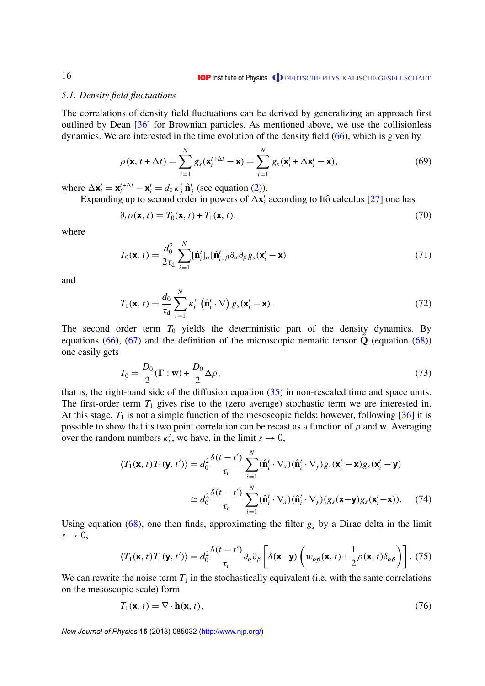#### <span id="page-16-0"></span>*5.1. Density field fluctuations*

The correlations of density field fluctuations can be derived by generalizing an approach first outlined by Dean [\[36\]](#page-27-0) for Brownian particles. As mentioned above, we use the collisionless dynamics. We are interested in the time evolution of the density field [\(66\)](#page-15-0), which is given by

$$
\rho(\mathbf{x}, t + \Delta t) = \sum_{i=1}^{N} g_s(\mathbf{x}_i^{t + \Delta t} - \mathbf{x}) = \sum_{i=1}^{N} g_s(\mathbf{x}_i^{t} + \Delta \mathbf{x}_i^{t} - \mathbf{x}),
$$
\n(69)

where  $\Delta \mathbf{x}_i^t = \mathbf{x}_i^{t+\Delta t} - \mathbf{x}_i^t = d_0 \, \kappa_j^t \, \hat{\mathbf{n}}_j^t$  (see equation [\(2\)](#page-4-0)).

Expanding up to second order in powers of  $\Delta x_i^t$  according to Itô calculus [[27\]](#page-27-0) one has

$$
\partial_t \rho(\mathbf{x}, t) = T_0(\mathbf{x}, t) + T_1(\mathbf{x}, t), \tag{70}
$$

where

$$
T_0(\mathbf{x}, t) = \frac{d_0^2}{2\tau_d} \sum_{i=1}^N [\hat{\mathbf{n}}_i^t]_{\alpha} [\hat{\mathbf{n}}_i^t]_{\beta} \partial_{\alpha} \partial_{\beta} g_s(\mathbf{x}_i^t - \mathbf{x})
$$
\n(71)

and

$$
T_1(\mathbf{x}, t) = \frac{d_0}{\tau_d} \sum_{i=1}^N \kappa_i^t \left( \hat{\mathbf{n}}_i^t \cdot \nabla \right) g_s(\mathbf{x}_i^t - \mathbf{x}). \tag{72}
$$

The second order term  $T_0$  yields the deterministic part of the density dynamics. By equations [\(66\)](#page-15-0), [\(67\)](#page-15-0) and the definition of the microscopic nematic tensor  $\bf{Q}$  (equation [\(68\)](#page-15-0)) one easily gets

$$
T_0 = \frac{D_0}{2} (\Gamma : \mathbf{w}) + \frac{D_0}{2} \Delta \rho, \tag{73}
$$

that is, the right-hand side of the diffusion equation  $(35)$  in non-rescaled time and space units. The first-order term  $T_1$  gives rise to the (zero average) stochastic term we are interested in. At this stage,  $T_1$  is not a simple function of the mesoscopic fields; however, following  $[36]$  it is possible to show that its two point correlation can be recast as a function of  $\rho$  and **w**. Averaging over the random numbers  $\kappa_i^t$ , we have, in the limit  $s \to 0$ ,

$$
\langle T_1(\mathbf{x},t)T_1(\mathbf{y},t')\rangle = d_0^2 \frac{\delta(t-t')}{\tau_d} \sum_{i=1}^N (\hat{\mathbf{n}}_i^t \cdot \nabla_x)(\hat{\mathbf{n}}_i^t \cdot \nabla_y) g_s(\mathbf{x}_i^t - \mathbf{x}) g_s(\mathbf{x}_i^t - \mathbf{y})
$$
  
 
$$
\simeq d_0^2 \frac{\delta(t-t')}{\tau_d} \sum_{i=1}^N (\hat{\mathbf{n}}_i^t \cdot \nabla_x)(\hat{\mathbf{n}}_i^t \cdot \nabla_y) (g_s(\mathbf{x}-\mathbf{y}) g_s(\mathbf{x}_i^t - \mathbf{x})). \tag{74}
$$

Using equation  $(68)$ , one then finds, approximating the filter  $g_s$  by a Dirac delta in the limit  $s \rightarrow 0$ ,

$$
\langle T_1(\mathbf{x},t)T_1(\mathbf{y},t')\rangle = d_0^2 \frac{\delta(t-t')}{\tau_d} \partial_\alpha \partial_\beta \left[ \delta(\mathbf{x}-\mathbf{y})\left(w_{\alpha\beta}(\mathbf{x},t) + \frac{1}{2}\rho(\mathbf{x},t)\delta_{\alpha\beta}\right) \right].
$$
 (75)

We can rewrite the noise term  $T_1$  in the stochastically equivalent (i.e. with the same correlations on the mesoscopic scale) form

$$
T_1(\mathbf{x}, t) = \nabla \cdot \mathbf{h}(\mathbf{x}, t), \tag{76}
$$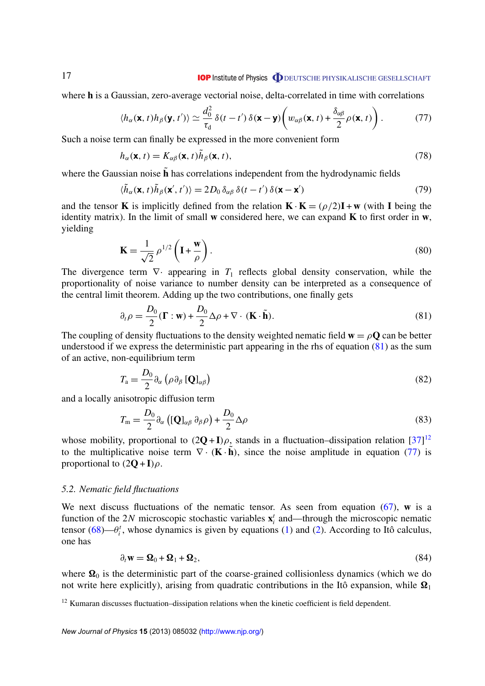#### **IOP** Institute of Physics **ODEUTSCHE PHYSIKALISCHE GESELLSCHAFT**

<span id="page-17-0"></span>where **h** is a Gaussian, zero-average vectorial noise, delta-correlated in time with correlations

$$
\langle h_{\alpha}(\mathbf{x},t)h_{\beta}(\mathbf{y},t')\rangle \simeq \frac{d_0^2}{\tau_d}\,\delta(t-t')\,\delta(\mathbf{x}-\mathbf{y})\bigg(w_{\alpha\beta}(\mathbf{x},t)+\frac{\delta_{\alpha\beta}}{2}\rho(\mathbf{x},t)\bigg). \tag{77}
$$

Such a noise term can finally be expressed in the more convenient form

$$
h_{\alpha}(\mathbf{x}, t) = K_{\alpha\beta}(\mathbf{x}, t)\tilde{h}_{\beta}(\mathbf{x}, t),
$$
\n(78)

where the Gaussian noise  $\tilde{\mathbf{h}}$  has correlations independent from the hydrodynamic fields

$$
\langle \tilde{h}_{\alpha}(\mathbf{x},t)\tilde{h}_{\beta}(\mathbf{x}',t')\rangle = 2D_0 \,\delta_{\alpha\beta} \,\delta(t-t') \,\delta(\mathbf{x}-\mathbf{x}')\tag{79}
$$

and the tensor **K** is implicitly defined from the relation  $\mathbf{K} \cdot \mathbf{K} = (\rho/2)\mathbf{I} + \mathbf{w}$  (with **I** being the identity matrix). In the limit of small **w** considered here, we can expand **K** to first order in **w**, yielding

$$
\mathbf{K} = \frac{1}{\sqrt{2}} \rho^{1/2} \left( \mathbf{I} + \frac{\mathbf{w}}{\rho} \right). \tag{80}
$$

The divergence term  $\nabla$  appearing in  $T_1$  reflects global density conservation, while the proportionality of noise variance to number density can be interpreted as a consequence of the central limit theorem. Adding up the two contributions, one finally gets

$$
\partial_t \rho = \frac{D_0}{2} (\mathbf{\Gamma} : \mathbf{w}) + \frac{D_0}{2} \Delta \rho + \nabla \cdot (\mathbf{K} \cdot \tilde{\mathbf{h}}).
$$
 (81)

The coupling of density fluctuations to the density weighted nematic field  $\mathbf{w} = \rho \mathbf{Q}$  can be better understood if we express the deterministic part appearing in the rhs of equation (81) as the sum of an active, non-equilibrium term

$$
T_{\rm a} = \frac{D_0}{2} \partial_\alpha \left( \rho \partial_\beta \left[ \mathbf{Q} \right]_{\alpha \beta} \right) \tag{82}
$$

and a locally anisotropic diffusion term

$$
T_{\rm m} = \frac{D_0}{2} \partial_{\alpha} \left( [\mathbf{Q}]_{\alpha\beta} \partial_{\beta} \rho \right) + \frac{D_0}{2} \Delta \rho \tag{83}
$$

whose mobility, proportional to  $(2Q+I)\rho$ , stands in a fluctuation–dissipation relation  $[37]^{12}$  $[37]^{12}$ to the multiplicative noise term  $\nabla \cdot (\mathbf{K} \cdot \tilde{\mathbf{h}})$ , since the noise amplitude in equation (77) is proportional to  $(2\mathbf{Q} + \mathbf{I})\rho$ .

#### *5.2. Nematic field fluctuations*

We next discuss fluctuations of the nematic tensor. As seen from equation [\(67\)](#page-15-0), **w** is a function of the 2*N* microscopic stochastic variables  $\mathbf{x}_i^t$  and—through the microscopic nematic tensor  $(68)$ — $\theta_i^t$ , whose dynamics is given by equations [\(1\)](#page-3-0) and [\(2\)](#page-4-0). According to Itô calculus, one has

$$
\partial_t \mathbf{w} = \mathbf{\Omega}_0 + \mathbf{\Omega}_1 + \mathbf{\Omega}_2, \tag{84}
$$

where  $\Omega_0$  is the deterministic part of the coarse-grained collisionless dynamics (which we do not write here explicitly), arising from quadratic contributions in the Itô expansion, while  $\Omega_1$ 

<sup>&</sup>lt;sup>12</sup> Kumaran discusses fluctuation–dissipation relations when the kinetic coefficient is field dependent.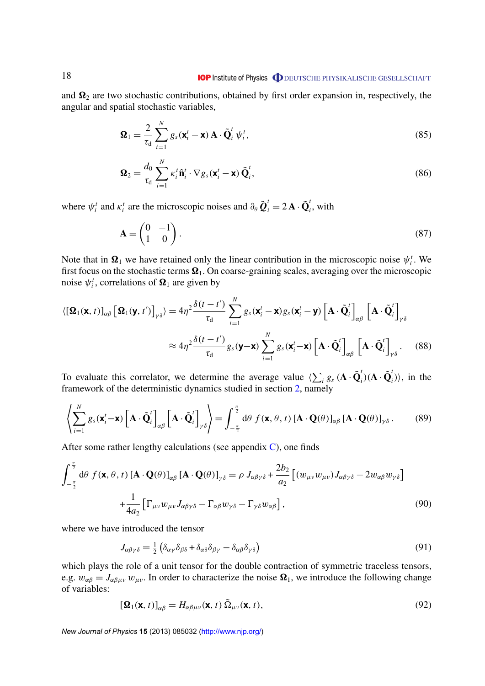<span id="page-18-0"></span>and  $\Omega_2$  are two stochastic contributions, obtained by first order expansion in, respectively, the angular and spatial stochastic variables,

$$
\mathbf{\Omega}_{1} = \frac{2}{\tau_{d}} \sum_{i=1}^{N} g_{s}(\mathbf{x}_{i}^{t} - \mathbf{x}) \mathbf{A} \cdot \tilde{\mathbf{Q}}_{i}^{t} \psi_{i}^{t},
$$
\n(85)

$$
\mathbf{\Omega}_2 = \frac{d_0}{\tau_d} \sum_{i=1}^N \kappa_i^t \hat{\mathbf{n}}_i^t \cdot \nabla g_s(\mathbf{x}_i^t - \mathbf{x}) \, \tilde{\mathbf{Q}}_i^t,\tag{86}
$$

where  $\psi_i^t$  and  $\kappa_i^t$  are the microscopic noises and  $\partial_\theta \tilde{Q}_i^t = 2 \mathbf{A} \cdot \tilde{Q}_i^t$ *i* , with

$$
\mathbf{A} = \begin{pmatrix} 0 & -1 \\ 1 & 0 \end{pmatrix} . \tag{87}
$$

Note that in  $\Omega_1$  we have retained only the linear contribution in the microscopic noise  $\psi_i^t$ . We first focus on the stochastic terms  $\Omega_1$ . On coarse-graining scales, averaging over the microscopic noise  $\psi_i^t$ , correlations of  $\mathbf{\Omega}_1$  are given by

$$
\langle [\mathbf{\Omega}_1(\mathbf{x}, t)]_{\alpha\beta} [\mathbf{\Omega}_1(\mathbf{y}, t')]_{\gamma\delta} \rangle = 4\eta^2 \frac{\delta(t - t')}{\tau_d} \sum_{i=1}^N g_s(\mathbf{x}_i^t - \mathbf{x}) g_s(\mathbf{x}_i^t - \mathbf{y}) [\mathbf{A} \cdot \tilde{\mathbf{Q}}_i^t]_{\alpha\beta} [\mathbf{A} \cdot \tilde{\mathbf{Q}}_i^t]_{\gamma\delta}
$$
  
 
$$
\approx 4\eta^2 \frac{\delta(t - t')}{\tau_d} g_s(\mathbf{y} - \mathbf{x}) \sum_{i=1}^N g_s(\mathbf{x}_i^t - \mathbf{x}) [\mathbf{A} \cdot \tilde{\mathbf{Q}}_i^t]_{\alpha\beta} [\mathbf{A} \cdot \tilde{\mathbf{Q}}_i^t]_{\gamma\delta}. \quad (88)
$$

To evaluate this correlator, we determine the average value  $\langle \sum_i g_s (A \cdot \tilde{Q}_i) \rangle$  $\tilde{\mathbf{Q}}_i^t$ )( $\mathbf{A} \cdot \tilde{\mathbf{Q}}_i^t$  $\binom{i}{i}$ , in the framework of the deterministic dynamics studied in section [2,](#page-3-0) namely

$$
\left\langle \sum_{i=1}^{N} g_s(\mathbf{x}_i^t - \mathbf{x}) \left[ \mathbf{A} \cdot \tilde{\mathbf{Q}}_i^t \right]_{\alpha \beta} \left[ \mathbf{A} \cdot \tilde{\mathbf{Q}}_i^t \right]_{\gamma \delta} \right\rangle = \int_{-\frac{\pi}{2}}^{\frac{\pi}{2}} d\theta \ f(\mathbf{x}, \theta, t) \left[ \mathbf{A} \cdot \mathbf{Q}(\theta) \right]_{\alpha \beta} \left[ \mathbf{A} \cdot \mathbf{Q}(\theta) \right]_{\gamma \delta} . \tag{89}
$$

After some rather lengthy calculations (see appendix  $C$ ), one finds

$$
\int_{-\frac{\pi}{2}}^{\frac{\pi}{2}} d\theta f(\mathbf{x}, \theta, t) \left[ \mathbf{A} \cdot \mathbf{Q}(\theta) \right]_{\alpha\beta} \left[ \mathbf{A} \cdot \mathbf{Q}(\theta) \right]_{\gamma\delta} = \rho J_{\alpha\beta\gamma\delta} + \frac{2b_2}{a_2} \left[ (w_{\mu\nu} w_{\mu\nu}) J_{\alpha\beta\gamma\delta} - 2w_{\alpha\beta} w_{\gamma\delta} \right] + \frac{1}{4a_2} \left[ \Gamma_{\mu\nu} w_{\mu\nu} J_{\alpha\beta\gamma\delta} - \Gamma_{\alpha\beta} w_{\gamma\delta} - \Gamma_{\gamma\delta} w_{\alpha\beta} \right],
$$
(90)

where we have introduced the tensor

$$
J_{\alpha\beta\gamma\delta} = \frac{1}{2} \left( \delta_{\alpha\gamma} \delta_{\beta\delta} + \delta_{\alpha\delta} \delta_{\beta\gamma} - \delta_{\alpha\beta} \delta_{\gamma\delta} \right)
$$
(91)

which plays the role of a unit tensor for the double contraction of symmetric traceless tensors, e.g.  $w_{\alpha\beta} = J_{\alpha\beta\mu\nu} w_{\mu\nu}$ . In order to characterize the noise  $\Omega_1$ , we introduce the following change of variables:

$$
[\mathbf{\Omega}_1(\mathbf{x},t)]_{\alpha\beta} = H_{\alpha\beta\mu\nu}(\mathbf{x},t) \, \tilde{\Omega}_{\mu\nu}(\mathbf{x},t),\tag{92}
$$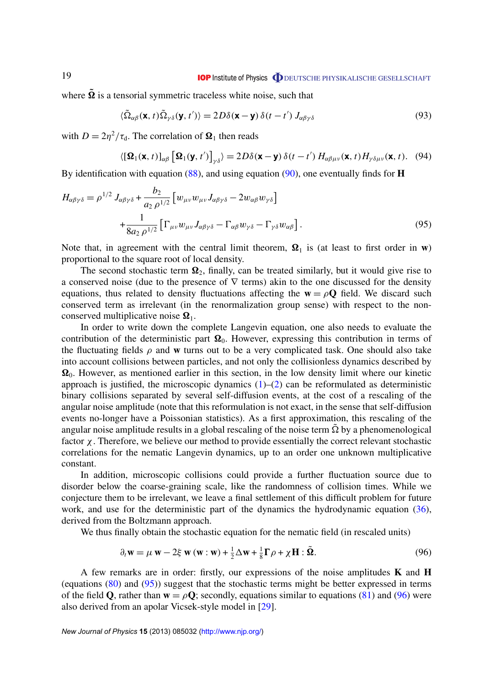<span id="page-19-0"></span>where  $\tilde{\Omega}$  is a tensorial symmetric traceless white noise, such that

$$
\langle \tilde{\Omega}_{\alpha\beta}(\mathbf{x},t)\tilde{\Omega}_{\gamma\delta}(\mathbf{y},t')\rangle = 2D\delta(\mathbf{x}-\mathbf{y})\,\delta(t-t')\,J_{\alpha\beta\gamma\delta} \tag{93}
$$

with  $D = 2\eta^2/\tau_d$ . The correlation of  $\Omega_1$  then reads

$$
\langle [\mathbf{\Omega}_1(\mathbf{x},t)]_{\alpha\beta} [\mathbf{\Omega}_1(\mathbf{y},t')]_{\gamma\delta} \rangle = 2D\delta(\mathbf{x}-\mathbf{y}) \,\delta(t-t') \, H_{\alpha\beta\mu\nu}(\mathbf{x},t) H_{\gamma\delta\mu\nu}(\mathbf{x},t). \tag{94}
$$

By identification with equation [\(88\)](#page-18-0), and using equation [\(90\)](#page-18-0), one eventually finds for **H**

$$
H_{\alpha\beta\gamma\delta} = \rho^{1/2} J_{\alpha\beta\gamma\delta} + \frac{b_2}{a_2 \rho^{1/2}} \left[ w_{\mu\nu} w_{\mu\nu} J_{\alpha\beta\gamma\delta} - 2 w_{\alpha\beta} w_{\gamma\delta} \right] + \frac{1}{8a_2 \rho^{1/2}} \left[ \Gamma_{\mu\nu} w_{\mu\nu} J_{\alpha\beta\gamma\delta} - \Gamma_{\alpha\beta} w_{\gamma\delta} - \Gamma_{\gamma\delta} w_{\alpha\beta} \right].
$$
 (95)

Note that, in agreement with the central limit theorem,  $\Omega_1$  is (at least to first order in **w**) proportional to the square root of local density.

The second stochastic term  $\Omega_2$ , finally, can be treated similarly, but it would give rise to a conserved noise (due to the presence of  $\nabla$  terms) akin to the one discussed for the density equations, thus related to density fluctuations affecting the  $w = \rho Q$  field. We discard such conserved term as irrelevant (in the renormalization group sense) with respect to the nonconserved multiplicative noise  $\Omega_1$ .

In order to write down the complete Langevin equation, one also needs to evaluate the contribution of the deterministic part  $\Omega_0$ . However, expressing this contribution in terms of the fluctuating fields  $\rho$  and **w** turns out to be a very complicated task. One should also take into account collisions between particles, and not only the collisionless dynamics described by  $\Omega_0$ . However, as mentioned earlier in this section, in the low density limit where our kinetic approach is justified, the microscopic dynamics  $(1)$ – $(2)$  can be reformulated as deterministic binary collisions separated by several self-diffusion events, at the cost of a rescaling of the angular noise amplitude (note that this reformulation is not exact, in the sense that self-diffusion events no-longer have a Poissonian statistics). As a first approximation, this rescaling of the angular noise amplitude results in a global rescaling of the noise term  $\tilde{\Omega}$  by a phenomenological factor  $\chi$ . Therefore, we believe our method to provide essentially the correct relevant stochastic correlations for the nematic Langevin dynamics, up to an order one unknown multiplicative constant.

In addition, microscopic collisions could provide a further fluctuation source due to disorder below the coarse-graining scale, like the randomness of collision times. While we conjecture them to be irrelevant, we leave a final settlement of this difficult problem for future work, and use for the deterministic part of the dynamics the hydrodynamic equation [\(36\)](#page-9-0), derived from the Boltzmann approach.

We thus finally obtain the stochastic equation for the nematic field (in rescaled units)

$$
\partial_t \mathbf{w} = \mu \mathbf{w} - 2\xi \mathbf{w} (\mathbf{w} : \mathbf{w}) + \frac{1}{2} \Delta \mathbf{w} + \frac{1}{8} \Gamma \rho + \chi \mathbf{H} : \tilde{\mathbf{\Omega}}.
$$
 (96)

A few remarks are in order: firstly, our expressions of the noise amplitudes **K** and **H** (equations [\(80\)](#page-17-0) and (95)) suggest that the stochastic terms might be better expressed in terms of the field **Q**, rather than  $\mathbf{w} = \rho \mathbf{Q}$ ; secondly, equations similar to equations [\(81\)](#page-17-0) and (96) were also derived from an apolar Vicsek-style model in [\[29\]](#page-27-0).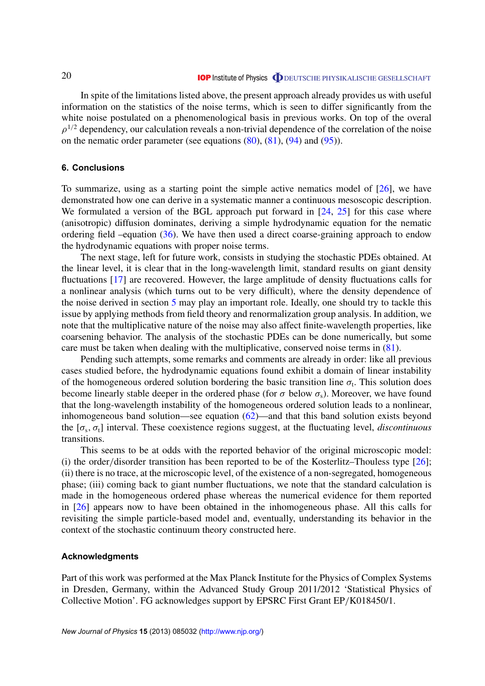<span id="page-20-0"></span>In spite of the limitations listed above, the present approach already provides us with useful information on the statistics of the noise terms, which is seen to differ significantly from the white noise postulated on a phenomenological basis in previous works. On top of the overal  $\rho^{1/2}$  dependency, our calculation reveals a non-trivial dependence of the correlation of the noise on the nematic order parameter (see equations  $(80)$ ,  $(81)$ ,  $(94)$  and  $(95)$ ).

# **6. Conclusions**

To summarize, using as a starting point the simple active nematics model of [\[26\]](#page-27-0), we have demonstrated how one can derive in a systematic manner a continuous mesoscopic description. We formulated a version of the BGL approach put forward in  $[24, 25]$  $[24, 25]$  $[24, 25]$  for this case where (anisotropic) diffusion dominates, deriving a simple hydrodynamic equation for the nematic ordering field –equation [\(36\)](#page-9-0). We have then used a direct coarse-graining approach to endow the hydrodynamic equations with proper noise terms.

The next stage, left for future work, consists in studying the stochastic PDEs obtained. At the linear level, it is clear that in the long-wavelength limit, standard results on giant density fluctuations [\[17\]](#page-26-0) are recovered. However, the large amplitude of density fluctuations calls for a nonlinear analysis (which turns out to be very difficult), where the density dependence of the noise derived in section [5](#page-15-0) may play an important role. Ideally, one should try to tackle this issue by applying methods from field theory and renormalization group analysis. In addition, we note that the multiplicative nature of the noise may also affect finite-wavelength properties, like coarsening behavior. The analysis of the stochastic PDEs can be done numerically, but some care must be taken when dealing with the multiplicative, conserved noise terms in [\(81\)](#page-17-0).

Pending such attempts, some remarks and comments are already in order: like all previous cases studied before, the hydrodynamic equations found exhibit a domain of linear instability of the homogeneous ordered solution bordering the basic transition line  $\sigma_t$ . This solution does become linearly stable deeper in the ordered phase (for  $\sigma$  below  $\sigma_s$ ). Moreover, we have found that the long-wavelength instability of the homogeneous ordered solution leads to a nonlinear, inhomogeneous band solution—see equation  $(62)$ —and that this band solution exists beyond the  $[\sigma_s, \sigma_t]$  interval. These coexistence regions suggest, at the fluctuating level, *discontinuous* transitions.

This seems to be at odds with the reported behavior of the original microscopic model: (i) the order/disorder transition has been reported to be of the Kosterlitz–Thouless type  $[26]$ ; (ii) there is no trace, at the microscopic level, of the existence of a non-segregated, homogeneous phase; (iii) coming back to giant number fluctuations, we note that the standard calculation is made in the homogeneous ordered phase whereas the numerical evidence for them reported in [\[26\]](#page-27-0) appears now to have been obtained in the inhomogeneous phase. All this calls for revisiting the simple particle-based model and, eventually, understanding its behavior in the context of the stochastic continuum theory constructed here.

# **Acknowledgments**

Part of this work was performed at the Max Planck Institute for the Physics of Complex Systems in Dresden, Germany, within the Advanced Study Group 2011/2012 'Statistical Physics of Collective Motion'. FG acknowledges support by EPSRC First Grant EP/K018450/1.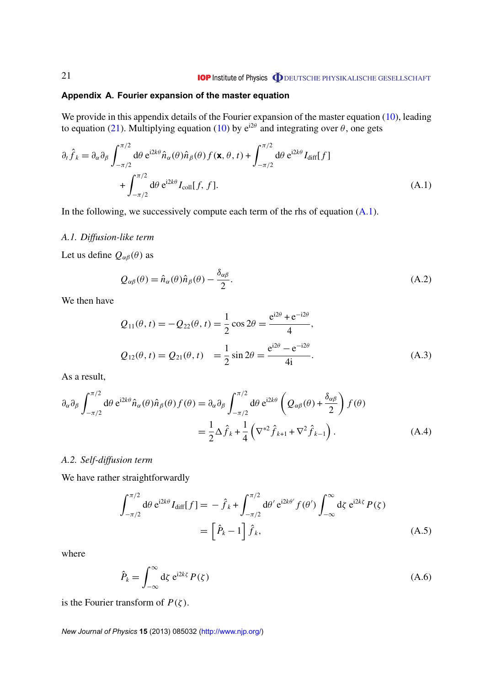# <span id="page-21-0"></span>**Appendix A. Fourier expansion of the master equation**

We provide in this appendix details of the Fourier expansion of the master equation [\(10\)](#page-5-0), leading to equation [\(21\)](#page-7-0). Multiplying equation [\(10\)](#page-5-0) by  $e^{i2\theta}$  and integrating over  $\theta$ , one gets

$$
\partial_t \hat{f}_k = \partial_\alpha \partial_\beta \int_{-\pi/2}^{\pi/2} d\theta \, e^{i2k\theta} \hat{n}_\alpha(\theta) \hat{n}_\beta(\theta) f(\mathbf{x}, \theta, t) + \int_{-\pi/2}^{\pi/2} d\theta \, e^{i2k\theta} I_{\text{diff}}[f] + \int_{-\pi/2}^{\pi/2} d\theta \, e^{i2k\theta} I_{\text{coll}}[f, f].
$$
\n(A.1)

In the following, we successively compute each term of the rhs of equation  $(A.1)$ .

# *A.1. Diffusion-like term*

Let us define  $Q_{\alpha\beta}(\theta)$  as

$$
Q_{\alpha\beta}(\theta) = \hat{n}_{\alpha}(\theta)\hat{n}_{\beta}(\theta) - \frac{\delta_{\alpha\beta}}{2}.
$$
\n(A.2)

We then have

$$
Q_{11}(\theta, t) = -Q_{22}(\theta, t) = \frac{1}{2}\cos 2\theta = \frac{e^{i2\theta} + e^{-i2\theta}}{4},
$$
  
\n
$$
Q_{12}(\theta, t) = Q_{21}(\theta, t) = \frac{1}{2}\sin 2\theta = \frac{e^{i2\theta} - e^{-i2\theta}}{4i}.
$$
\n(A.3)

As a result,

$$
\partial_{\alpha}\partial_{\beta}\int_{-\pi/2}^{\pi/2} d\theta \, e^{i2k\theta} \hat{n}_{\alpha}(\theta) \hat{n}_{\beta}(\theta) f(\theta) = \partial_{\alpha}\partial_{\beta}\int_{-\pi/2}^{\pi/2} d\theta \, e^{i2k\theta} \left(Q_{\alpha\beta}(\theta) + \frac{\delta_{\alpha\beta}}{2}\right) f(\theta)
$$

$$
= \frac{1}{2}\Delta \hat{f}_{k} + \frac{1}{4}\left(\nabla^{*2}\hat{f}_{k+1} + \nabla^{2}\hat{f}_{k-1}\right). \tag{A.4}
$$

# *A.2. Self-diffusion term*

We have rather straightforwardly

$$
\int_{-\pi/2}^{\pi/2} d\theta \, e^{i2k\theta} I_{\text{diff}}[f] = -\hat{f}_k + \int_{-\pi/2}^{\pi/2} d\theta' \, e^{i2k\theta'} f(\theta') \int_{-\infty}^{\infty} d\zeta \, e^{i2k\zeta} P(\zeta)
$$
\n
$$
= \left[\hat{P}_k - 1\right] \hat{f}_k, \tag{A.5}
$$

where

$$
\hat{P}_k = \int_{-\infty}^{\infty} \mathrm{d}\zeta \; \mathrm{e}^{\mathrm{i}2k\zeta} \, P(\zeta) \tag{A.6}
$$

is the Fourier transform of  $P(\zeta)$ .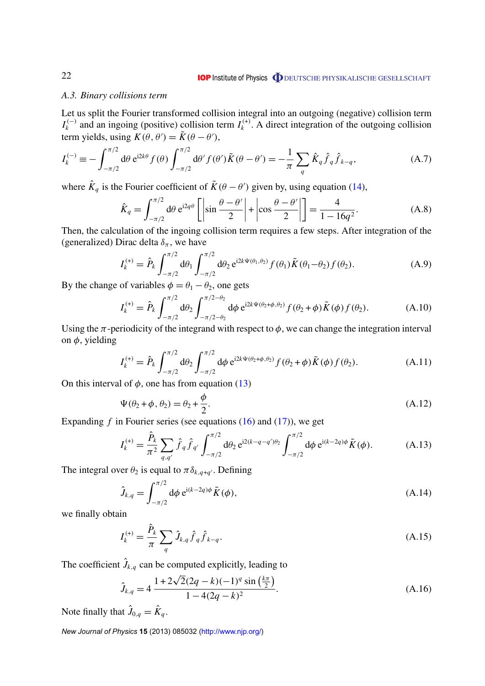# <span id="page-22-0"></span>*A.3. Binary collisions term*

Let us split the Fourier transformed collision integral into an outgoing (negative) collision term  $I_k^{(-)}$  $\mu_k^{(-)}$  and an ingoing (positive) collision term  $I_k^{(+)}$  $k_k^{(+)}$ . A direct integration of the outgoing collision term yields, using  $K(\theta, \theta') = \tilde{K}(\theta - \theta')$ ,

$$
I_{k}^{(-)} \equiv -\int_{-\pi/2}^{\pi/2} d\theta \, e^{i2k\theta} f(\theta) \int_{-\pi/2}^{\pi/2} d\theta' f(\theta') \tilde{K}(\theta - \theta') = -\frac{1}{\pi} \sum_{q} \hat{K}_{q} \hat{f}_{q} \hat{f}_{k-q}, \tag{A.7}
$$

where  $\hat{K}_q$  is the Fourier coefficient of  $\tilde{K}(\theta - \theta')$  given by, using equation [\(14\)](#page-6-0),

$$
\hat{K}_q = \int_{-\pi/2}^{\pi/2} d\theta \, e^{i2q\theta} \left[ \left| \sin \frac{\theta - \theta'}{2} \right| + \left| \cos \frac{\theta - \theta'}{2} \right| \right] = \frac{4}{1 - 16q^2}.
$$
\n(A.8)

Then, the calculation of the ingoing collision term requires a few steps. After integration of the (generalized) Dirac delta  $\delta_{\pi}$ , we have

$$
I_{k}^{(+)} = \hat{P}_{k} \int_{-\pi/2}^{\pi/2} d\theta_{1} \int_{-\pi/2}^{\pi/2} d\theta_{2} e^{i2k\Psi(\theta_{1},\theta_{2})} f(\theta_{1}) \tilde{K}(\theta_{1} - \theta_{2}) f(\theta_{2}). \tag{A.9}
$$

By the change of variables  $\phi = \theta_1 - \theta_2$ , one gets

$$
I_{k}^{(+)} = \hat{P}_{k} \int_{-\pi/2}^{\pi/2} d\theta_{2} \int_{-\pi/2-\theta_{2}}^{\pi/2-\theta_{2}} d\phi \ e^{i2k\Psi(\theta_{2}+\phi,\theta_{2})} f(\theta_{2}+\phi) \tilde{K}(\phi) f(\theta_{2}). \tag{A.10}
$$

Using the  $\pi$ -periodicity of the integrand with respect to  $\phi$ , we can change the integration interval on  $\phi$ , yielding

$$
I_k^{(+)} = \hat{P}_k \int_{-\pi/2}^{\pi/2} d\theta_2 \int_{-\pi/2}^{\pi/2} d\phi \, e^{i2k\Psi(\theta_2 + \phi, \theta_2)} f(\theta_2 + \phi) \tilde{K}(\phi) f(\theta_2).
$$
 (A.11)

On this interval of  $\phi$ , one has from equation [\(13\)](#page-5-0)

$$
\Psi(\theta_2 + \phi, \theta_2) = \theta_2 + \frac{\phi}{2}.
$$
\n(A.12)

Expanding *f* in Fourier series (see equations [\(16\)](#page-6-0) and [\(17\)](#page-6-0)), we get

$$
I_{k}^{(+)} = \frac{\hat{P}_{k}}{\pi^{2}} \sum_{q,q'} \hat{f}_{q} \hat{f}_{q'} \int_{-\pi/2}^{\pi/2} d\theta_{2} e^{i2(k-q-q')\theta_{2}} \int_{-\pi/2}^{\pi/2} d\phi e^{i(k-2q)\phi} \tilde{K}(\phi).
$$
 (A.13)

The integral over  $\theta_2$  is equal to  $\pi \delta_{k,q+q}$ . Defining

$$
\hat{J}_{k,q} = \int_{-\pi/2}^{\pi/2} d\phi \, e^{i(k-2q)\phi} \tilde{K}(\phi),
$$
\n(A.14)

we finally obtain

$$
I_k^{(+)} = \frac{\hat{P}_k}{\pi} \sum_q \hat{J}_{k,q} \hat{f}_q \hat{f}_{k-q}.
$$
\n(A.15)

The coefficient  $\hat{J}_{k,q}$  can be computed explicitly, leading to<br>  $\hat{J}_{k,q} = 1 + 2\sqrt{2}(2q - k)(-1)^q \sin\left(\frac{k\pi}{2}\right)$ 

$$
\hat{J}_{k,q} = 4 \frac{1 + 2\sqrt{2}(2q - k)(-1)^q \sin\left(\frac{k\pi}{2}\right)}{1 - 4(2q - k)^2}.
$$
\n(A.16)

Note finally that  $\hat{J}_{0,q} = \hat{K}_q$ .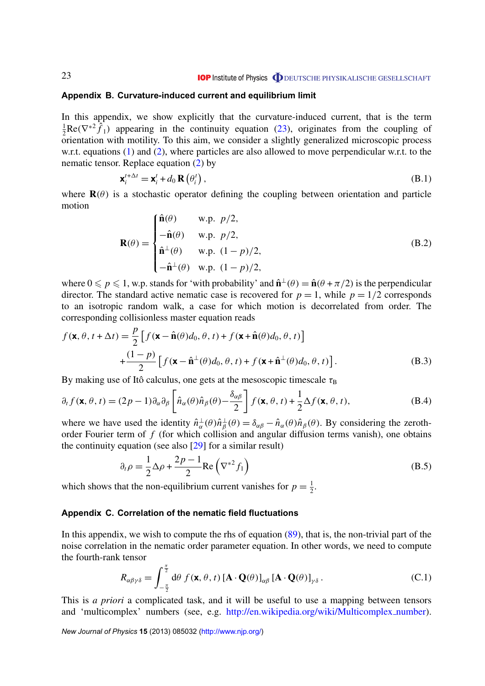#### <span id="page-23-0"></span>**Appendix B. Curvature-induced current and equilibrium limit**

In this appendix, we show explicitly that the curvature-induced current, that is the term  $\frac{1}{2}$ Re( $\nabla^{*2} \hat{f}_1$ ) appearing in the continuity equation [\(23\)](#page-7-0), originates from the coupling of  $2^{2}$  co( $\sqrt{f}$ ) appearing in the commany equation (25), originates from the coaping of orientation with motility. To this aim, we consider a slightly generalized microscopic process w.r.t. equations [\(1\)](#page-3-0) and [\(2\)](#page-4-0), where particles are also allowed to move perpendicular w.r.t. to the nematic tensor. Replace equation [\(2\)](#page-4-0) by

$$
\mathbf{x}_{i}^{t+\Delta t} = \mathbf{x}_{i}^{t} + d_{0} \mathbf{R} \left( \theta_{i}^{t} \right), \tag{B.1}
$$

where  $\mathbf{R}(\theta)$  is a stochastic operator defining the coupling between orientation and particle motion  $\epsilon$  A  $\epsilon$  as

$$
\mathbf{R}(\theta) = \begin{cases} \hat{\mathbf{n}}(\theta) & \text{w.p. } p/2, \\ -\hat{\mathbf{n}}(\theta) & \text{w.p. } p/2, \\ \hat{\mathbf{n}}^{\perp}(\theta) & \text{w.p. } (1-p)/2, \\ -\hat{\mathbf{n}}^{\perp}(\theta) & \text{w.p. } (1-p)/2, \end{cases}
$$
(B.2)

where  $0 \leq p \leq 1$ , w.p. stands for 'with probability' and  $\hat{\mathbf{n}}^{\perp}(\theta) = \hat{\mathbf{n}}(\theta + \pi/2)$  is the perpendicular director. The standard active nematic case is recovered for  $p = 1$ , while  $p = 1/2$  corresponds to an isotropic random walk, a case for which motion is decorrelated from order. The corresponding collisionless master equation reads

$$
f(\mathbf{x}, \theta, t + \Delta t) = \frac{p}{2} \left[ f(\mathbf{x} - \hat{\mathbf{n}}(\theta) d_0, \theta, t) + f(\mathbf{x} + \hat{\mathbf{n}}(\theta) d_0, \theta, t) \right]
$$
  
+ 
$$
\frac{(1-p)}{2} \left[ f(\mathbf{x} - \hat{\mathbf{n}}^{\perp}(\theta) d_0, \theta, t) + f(\mathbf{x} + \hat{\mathbf{n}}^{\perp}(\theta) d_0, \theta, t) \right].
$$
 (B.3)

By making use of Itô calculus, one gets at the mesoscopic timescale  $\tau_B$ 

$$
\partial_t f(\mathbf{x}, \theta, t) = (2p - 1) \partial_\alpha \partial_\beta \left[ \hat{n}_\alpha(\theta) \hat{n}_\beta(\theta) - \frac{\delta_{\alpha\beta}}{2} \right] f(\mathbf{x}, \theta, t) + \frac{1}{2} \Delta f(\mathbf{x}, \theta, t), \tag{B.4}
$$

where we have used the identity  $\hat{n}^{\perp}_{\alpha}$  $\frac{1}{\alpha}(\theta)\hat{n}_{\beta}^{\perp}$  $\phi_{\beta}^{\perp}(\theta) = \delta_{\alpha\beta} - \hat{n}_{\alpha}(\theta)\hat{n}_{\beta}(\theta)$ . By considering the zerothorder Fourier term of *f* (for which collision and angular diffusion terms vanish), one obtains the continuity equation (see also [\[29\]](#page-27-0) for a similar result)

$$
\partial_t \rho = \frac{1}{2} \Delta \rho + \frac{2p - 1}{2} \text{Re} \left( \nabla^{*2} f_1 \right)
$$
 (B.5)

which shows that the non-equilibrium current vanishes for  $p = \frac{1}{2}$  $rac{1}{2}$ .

# **Appendix C. Correlation of the nematic field fluctuations**

In this appendix, we wish to compute the rhs of equation [\(89\)](#page-18-0), that is, the non-trivial part of the noise correlation in the nematic order parameter equation. In other words, we need to compute the fourth-rank tensor

$$
R_{\alpha\beta\gamma\delta} = \int_{-\frac{\pi}{2}}^{\frac{\pi}{2}} d\theta \ f(\mathbf{x}, \theta, t) \left[\mathbf{A} \cdot \mathbf{Q}(\theta)\right]_{\alpha\beta} \left[\mathbf{A} \cdot \mathbf{Q}(\theta)\right]_{\gamma\delta}.
$$
 (C.1)

This is *a priori* a complicated task, and it will be useful to use a mapping between tensors and 'multicomplex' numbers (see, e.g. [http://en.wikipedia.org/wiki/Multicomplex](http://en.wikipedia.org/wiki/Multicomplex_number) number).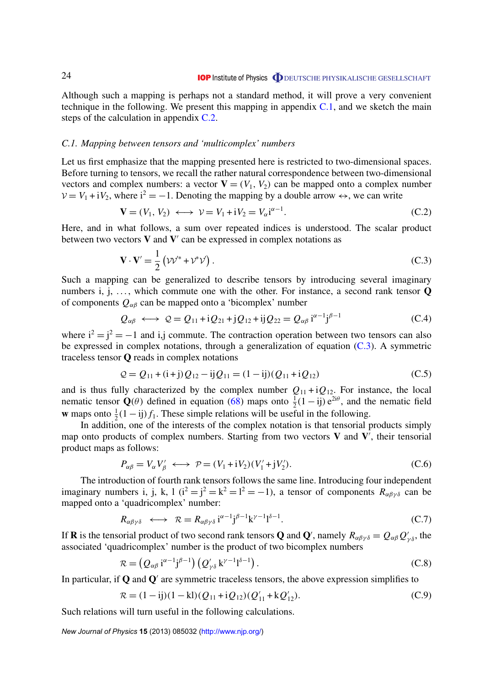<span id="page-24-0"></span>Although such a mapping is perhaps not a standard method, it will prove a very convenient technique in the following. We present this mapping in appendix  $C<sub>1</sub>$ , and we sketch the main steps of the calculation in appendix C.2.

#### *C.1. Mapping between tensors and 'multicomplex' numbers*

Let us first emphasize that the mapping presented here is restricted to two-dimensional spaces. Before turning to tensors, we recall the rather natural correspondence between two-dimensional vectors and complex numbers: a vector  $V = (V_1, V_2)$  can be mapped onto a complex number  $V = V_1 + iV_2$ , where  $i^2 = -1$ . Denoting the mapping by a double arrow  $\leftrightarrow$ , we can write

$$
\mathbf{V} = (V_1, V_2) \longleftrightarrow \mathcal{V} = V_1 + iV_2 = V_\alpha i^{\alpha - 1}.
$$
 (C.2)

Here, and in what follows, a sum over repeated indices is understood. The scalar product between two vectors  $V$  and  $V'$  can be expressed in complex notations as

$$
\mathbf{V} \cdot \mathbf{V}' = \frac{1}{2} \left( \mathcal{V} \mathcal{V}^* + \mathcal{V}^* \mathcal{V} \right). \tag{C.3}
$$

Such a mapping can be generalized to describe tensors by introducing several imaginary numbers i, j, ..., which commute one with the other. For instance, a second rank tensor  $\bf{Q}$ of components  $Q_{\alpha\beta}$  can be mapped onto a 'bicomplex' number

$$
Q_{\alpha\beta} \longleftrightarrow Q = Q_{11} + iQ_{21} + jQ_{12} + ijQ_{22} = Q_{\alpha\beta} i^{\alpha - 1} j^{\beta - 1}
$$
 (C.4)

where  $i^2 = j^2 = -1$  and i,j commute. The contraction operation between two tensors can also be expressed in complex notations, through a generalization of equation  $(C.3)$ . A symmetric traceless tensor **Q** reads in complex notations

$$
Q = Q_{11} + (i + j)Q_{12} - ijQ_{11} = (1 - ij)(Q_{11} + iQ_{12})
$$
\n(C.5)

and is thus fully characterized by the complex number  $Q_{11} + iQ_{12}$ . For instance, the local nematic tensor  $\mathbf{Q}(\theta)$  defined in equation [\(68\)](#page-15-0) maps onto  $\frac{1}{2}(1 - ij)e^{2i\theta}$ , and the nematic field **w** maps onto  $\frac{1}{2}(1 - ij) f_1$ . These simple relations will be useful in the following.

In addition, one of the interests of the complex notation is that tensorial products simply map onto products of complex numbers. Starting from two vectors  $V$  and  $V'$ , their tensorial product maps as follows:

$$
P_{\alpha\beta} = V_{\alpha} V_{\beta}' \longleftrightarrow \mathcal{P} = (V_1 + iV_2)(V_1' + jV_2').
$$
 (C.6)

The introduction of fourth rank tensors follows the same line. Introducing four independent imaginary numbers i, j, k, l  $(i^2 = j^2 = k^2 = l^2 = -1)$ , a tensor of components  $R_{\alpha\beta\gamma\delta}$  can be mapped onto a 'quadricomplex' number:

$$
R_{\alpha\beta\gamma\delta} \iff \mathcal{R} = R_{\alpha\beta\gamma\delta} \, \mathbf{i}^{\alpha-1} \mathbf{j}^{\beta-1} \mathbf{k}^{\gamma-1} \mathbf{l}^{\delta-1}.
$$

If **R** is the tensorial product of two second rank tensors **Q** and **Q**', namely  $R_{\alpha\beta\gamma\delta} = Q_{\alpha\beta}Q'_{\gamma\delta}$ , the associated 'quadricomplex' number is the product of two bicomplex numbers

$$
\mathcal{R} = (Q_{\alpha\beta} \, \mathrm{i}^{\alpha-1} \mathrm{j}^{\beta-1}) \left( Q'_{\gamma\delta} \, \mathrm{k}^{\gamma-1} \mathrm{l}^{\delta-1} \right). \tag{C.8}
$$

In particular, if  $Q$  and  $Q'$  are symmetric traceless tensors, the above expression simplifies to

$$
\mathcal{R} = (1 - ij)(1 - kl)(Q_{11} + iQ_{12})(Q'_{11} + kQ'_{12}).
$$
\n(C.9)

Such relations will turn useful in the following calculations.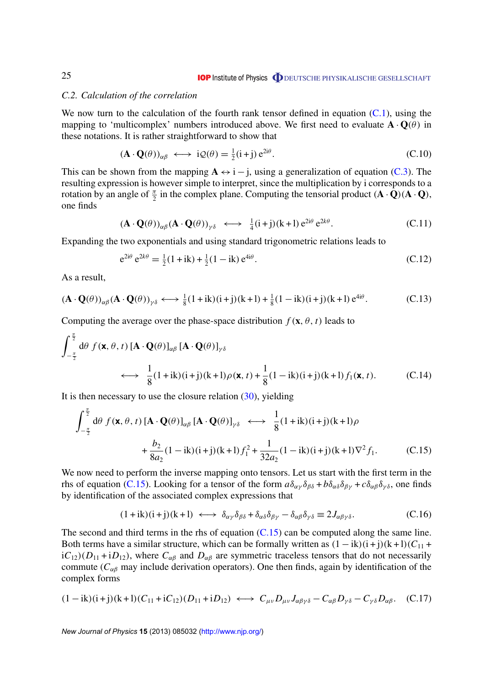#### <span id="page-25-0"></span>*C.2. Calculation of the correlation*

We now turn to the calculation of the fourth rank tensor defined in equation  $(C.1)$ , using the mapping to 'multicomplex' numbers introduced above. We first need to evaluate  $\mathbf{A} \cdot \mathbf{Q}(\theta)$  in these notations. It is rather straightforward to show that

$$
(\mathbf{A} \cdot \mathbf{Q}(\theta))_{\alpha\beta} \longleftrightarrow i\mathcal{Q}(\theta) = \frac{1}{2}(i+j) e^{2i\theta}.
$$
 (C.10)

This can be shown from the mapping  $A \leftrightarrow i - j$ , using a generalization of equation [\(C.3\)](#page-24-0). The resulting expression is however simple to interpret, since the multiplication by i corresponds to a rotation by an angle of  $\frac{\pi}{2}$  in the complex plane. Computing the tensorial product  $(\mathbf{A} \cdot \hat{\mathbf{Q}})(\mathbf{A} \cdot \mathbf{Q})$ , one finds

$$
(\mathbf{A} \cdot \mathbf{Q}(\theta))_{\alpha\beta} (\mathbf{A} \cdot \mathbf{Q}(\theta))_{\gamma\delta} \longleftrightarrow \frac{1}{4} (\mathbf{i} + \mathbf{j}) (\mathbf{k} + \mathbf{l}) e^{2\mathbf{i}\theta} e^{2\mathbf{k}\theta}.
$$
 (C.11)

Expanding the two exponentials and using standard trigonometric relations leads to

$$
e^{2i\theta} e^{2k\theta} = \frac{1}{2} (1 + ik) + \frac{1}{2} (1 - ik) e^{4i\theta}.
$$
 (C.12)

As a result,

$$
(\mathbf{A} \cdot \mathbf{Q}(\theta))_{\alpha\beta} (\mathbf{A} \cdot \mathbf{Q}(\theta))_{\gamma\delta} \longleftrightarrow \frac{1}{8} (1 + ik)(i + j)(k + l) + \frac{1}{8} (1 - ik)(i + j)(k + l) e^{4i\theta}.
$$
 (C.13)

Computing the average over the phase-space distribution  $f(\mathbf{x}, \theta, t)$  leads to

$$
\int_{-\frac{\pi}{2}}^{\frac{\pi}{2}} d\theta f(\mathbf{x}, \theta, t) [\mathbf{A} \cdot \mathbf{Q}(\theta)]_{\alpha\beta} [\mathbf{A} \cdot \mathbf{Q}(\theta)]_{\gamma\delta} \n\longleftrightarrow \frac{1}{8} (1 + ik)(i + j)(k + l)\rho(\mathbf{x}, t) + \frac{1}{8} (1 - ik)(i + j)(k + l)f_1(\mathbf{x}, t).
$$
\n(C.14)

It is then necessary to use the closure relation  $(30)$ , yielding

$$
\int_{-\frac{\pi}{2}}^{\frac{\pi}{2}} d\theta \, f(\mathbf{x}, \theta, t) \left[ \mathbf{A} \cdot \mathbf{Q}(\theta) \right]_{\alpha\beta} \left[ \mathbf{A} \cdot \mathbf{Q}(\theta) \right]_{\gamma\delta} \longleftrightarrow \frac{1}{8} (1 + ik)(i + j)(k + l)\rho \n+ \frac{b_2}{8a_2} (1 - ik)(i + j)(k + l) f_1^2 + \frac{1}{32a_2} (1 - ik)(i + j)(k + l)\nabla^2 f_1.
$$
\n(C.15)

We now need to perform the inverse mapping onto tensors. Let us start with the first term in the rhs of equation (C.15). Looking for a tensor of the form  $a\delta_{\alpha\gamma}\delta_{\beta\delta} + b\delta_{\alpha\delta}\delta_{\beta\gamma} + c\delta_{\alpha\beta}\delta_{\gamma\delta}$ , one finds by identification of the associated complex expressions that

$$
(1+ik)(i+j)(k+l) \iff \delta_{\alpha\gamma}\delta_{\beta\delta} + \delta_{\alpha\delta}\delta_{\beta\gamma} - \delta_{\alpha\beta}\delta_{\gamma\delta} \equiv 2J_{\alpha\beta\gamma\delta}.
$$
 (C.16)

The second and third terms in the rhs of equation  $(C.15)$  can be computed along the same line. Both terms have a similar structure, which can be formally written as  $(1 - ik)(i + j)(k + l)(C_{11} + j)$  $iC_{12}(D_{11} + iD_{12})$ , where  $C_{\alpha\beta}$  and  $D_{\alpha\beta}$  are symmetric traceless tensors that do not necessarily commute ( $C_{\alpha\beta}$  may include derivation operators). One then finds, again by identification of the complex forms

$$
(1 - ik)(i + j)(k + l)(C_{11} + iC_{12})(D_{11} + iD_{12}) \iff C_{\mu\nu}D_{\mu\nu}J_{\alpha\beta\gamma\delta} - C_{\alpha\beta}D_{\gamma\delta} - C_{\gamma\delta}D_{\alpha\beta}.
$$
 (C.17)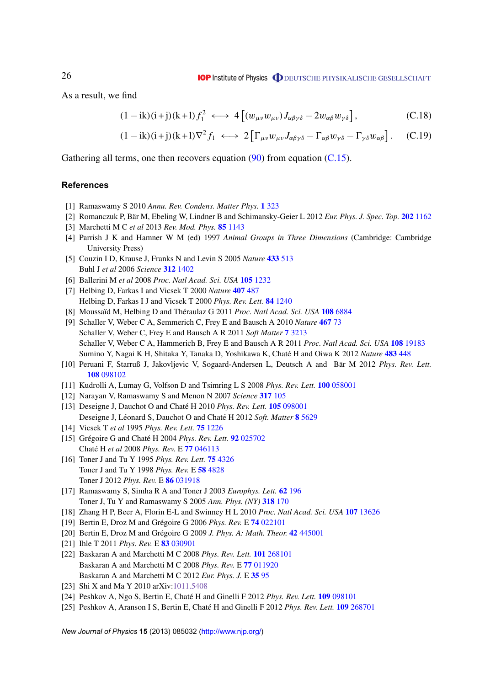<span id="page-26-0"></span>As a result, we find

$$
(1 - ik)(i + j)(k + l)f_1^2 \longleftrightarrow 4[(w_{\mu\nu}w_{\mu\nu})J_{\alpha\beta\gamma\delta} - 2w_{\alpha\beta}w_{\gamma\delta}], \qquad (C.18)
$$

$$
(1 - ik)(i + j)(k + l)\nabla^2 f_1 \iff 2\left[\Gamma_{\mu\nu}w_{\mu\nu}J_{\alpha\beta\gamma\delta} - \Gamma_{\alpha\beta}w_{\gamma\delta} - \Gamma_{\gamma\delta}w_{\alpha\beta}\right].
$$
 (C.19)

Gathering all terms, one then recovers equation  $(90)$  from equation  $(C.15)$ .

#### **References**

- [1] Ramaswamy S 2010 *Annu. Rev. Condens. Matter Phys.* **1** [323](http://dx.doi.org/10.1146/annurev-conmatphys-070909-104101)
- [2] Romanczuk P, Bär M, Ebeling W, Lindner B and Schimansky-Geier L 2012 Eur. Phys. J. Spec. Top. 202 [1162](http://dx.doi.org/10.1140/epjst/e2012-01529-y)
- [3] Marchetti M C *et al* 2013 *Rev. Mod. Phys.* **85** [1143](http://dx.doi.org/10.1103/RevModPhys.85.1143)
- [4] Parrish J K and Hamner W M (ed) 1997 *Animal Groups in Three Dimensions* (Cambridge: Cambridge University Press)
- [5] Couzin I D, Krause J, Franks N and Levin S 2005 *Nature* **[433](http://dx.doi.org/10.1038/nature03236)** 513 Buhl J *et al* 2006 *Science* **312** [1402](http://dx.doi.org/10.1126/science.1125142)
- [6] Ballerini M *et al* 2008 *Proc. Natl Acad. Sci. USA* **105** [1232](http://dx.doi.org/10.1073/pnas.0711437105)
- [7] Helbing D, Farkas I and Vicsek T 2000 *Nature* **407** [487](http://dx.doi.org/10.1038/35035023) Helbing D, Farkas I J and Vicsek T 2000 *Phys. Rev. Lett.* **84** [1240](http://dx.doi.org/10.1103/PhysRevLett.84.1240)
- [8] Moussaïd M, Helbing D and Théraulaz G 2011 Proc. Natl Acad. Sci. USA 108 [6884](http://dx.doi.org/10.1073/pnas.1016507108)
- [9] Schaller V, Weber C A, Semmerich C, Frey E and Bausch A 2010 *Nature* **[467](http://dx.doi.org/10.1038/nature09312)** 73 Schaller V, Weber C, Frey E and Bausch A R 2011 *Soft Matter* **7** [3213](http://dx.doi.org/10.1039/c0sm01063d) Schaller V, Weber C A, Hammerich B, Frey E and Bausch A R 2011 *Proc. Natl Acad. Sci. USA* **108** [19183](http://dx.doi.org/10.1073/pnas.1107540108) Sumino Y, Nagai K H, Shitaka Y, Tanaka D, Yoshikawa K, Chaté H and Oiwa K 2012 Nature 483 [448](http://dx.doi.org/10.1038/nature10874)
- [10] Peruani F, Starruß J, Jakovljevic V, Sogaard-Andersen L, Deutsch A and Bär M 2012 Phys. Rev. Lett. **108** [098102](http://dx.doi.org/10.1103/PhysRevLett.108.098102)
- [11] Kudrolli A, Lumay G, Volfson D and Tsimring L S 2008 *Phys. Rev. Lett.* **100** [058001](http://dx.doi.org/10.1103/PhysRevLett.100.058001)
- [12] Narayan V, Ramaswamy S and Menon N 2007 *Science* **317** [105](http://dx.doi.org/10.1126/science.1140414)
- [13] Deseigne J, Dauchot O and Chaté H 2010 *Phys. Rev. Lett.* **105** [098001](http://dx.doi.org/10.1103/PhysRevLett.105.098001) Deseigne J, Léonard S, Dauchot O and Chaté H 2012 Soft. Matter 8 [5629](http://dx.doi.org/10.1039/c2sm25186h)
- [14] Vicsek T *et al* 1995 *Phys. Rev. Lett.* **75** [1226](http://dx.doi.org/10.1103/PhysRevLett.75.1226)
- [15] Grégoire G and Chaté H 2004 Phys. Rev. Lett. **92** [025702](http://dx.doi.org/10.1103/PhysRevLett.92.025702) Chate H´ *et al* 2008 *Phys. Rev.* E **77** [046113](http://dx.doi.org/10.1103/PhysRevE.77.046113)
- [16] Toner J and Tu Y 1995 *Phys. Rev. Lett.* **75** [4326](http://dx.doi.org/10.1103/PhysRevLett.75.4326) Toner J and Tu Y 1998 *Phys. Rev.* E **58** [4828](http://dx.doi.org/10.1103/PhysRevE.58.4828) Toner J 2012 *Phys. Rev.* E **86** [031918](http://dx.doi.org/10.1103/PhysRevE.86.031918)
- [17] Ramaswamy S, Simha R A and Toner J 2003 *Europhys. Lett.* **62** [196](http://dx.doi.org/10.1209/epl/i2003-00346-7) Toner J, Tu Y and Ramaswamy S 2005 *Ann. Phys. (NY)* **[318](http://dx.doi.org/10.1016/j.aop.2005.04.011)** 170
- [18] Zhang H P, Beer A, Florin E-L and Swinney H L 2010 *Proc. Natl Acad. Sci. USA* **107** [13626](http://dx.doi.org/10.1073/pnas.1001651107)
- [19] Bertin E, Droz M and Grégoire G 2006 Phys. Rev. E **74** [022101](http://dx.doi.org/10.1103/PhysRevE.74.022101)
- [20] Bertin E, Droz M and Grégoire G 2009 *J. Phys. A: Math. Theor.* **42** [445001](http://dx.doi.org/10.1088/1751-8113/42/44/445001)
- [21] Ihle T 2011 *Phys. Rev.* E **83** [030901](http://dx.doi.org/10.1103/PhysRevE.83.030901)
- [22] Baskaran A and Marchetti M C 2008 *Phys. Rev. Lett.* **101** [268101](http://dx.doi.org/10.1103/PhysRevLett.101.268101) Baskaran A and Marchetti M C 2008 *Phys. Rev.* E **77** [011920](http://dx.doi.org/10.1103/PhysRevE.77.011920) Baskaran A and Marchetti M C 2012 *Eur. Phys. J.* E **35** [95](http://dx.doi.org/10.1140/epje/i2012-12095-8)
- [23] Shi X and Ma Y 2010 arXiv[:1011.5408](http://arxiv.org/abs/1011.5408)
- [24] Peshkov A, Ngo S, Bertin E, Chate H and Ginelli F 2012 ´ *Phys. Rev. Lett.* **109** [098101](http://dx.doi.org/10.1103/PhysRevLett.109.098101)
- [25] Peshkov A, Aranson I S, Bertin E, Chaté H and Ginelli F 2012 *Phys. Rev. Lett.* **109** [268701](http://dx.doi.org/10.1103/PhysRevLett.109.268701)